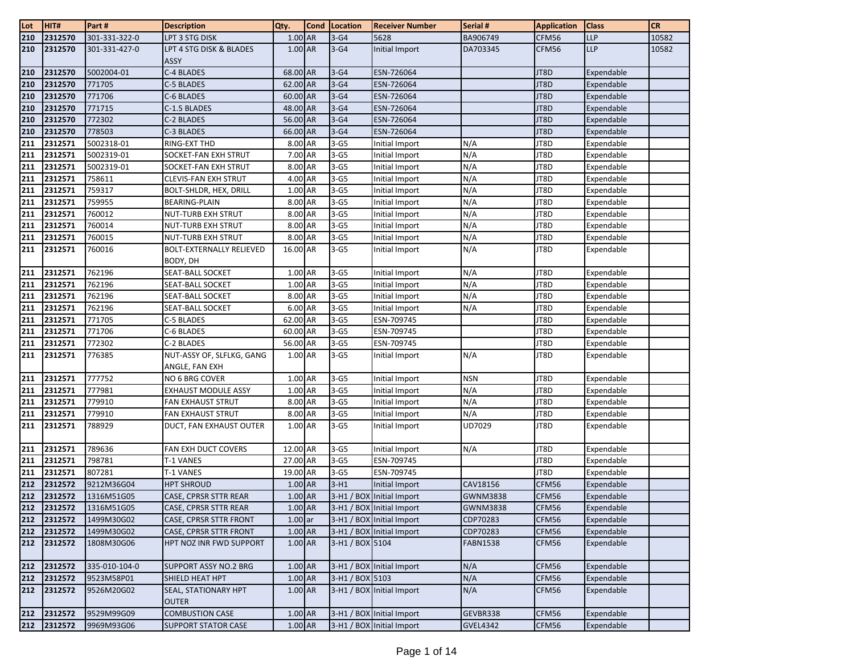| Lot | HIT#        | Part#         | <b>Description</b>                          | Qty.      | <b>Cond</b> | Location        | <b>Receiver Number</b>    | Serial #        | <b>Application</b> | <b>Class</b> | <b>CR</b> |
|-----|-------------|---------------|---------------------------------------------|-----------|-------------|-----------------|---------------------------|-----------------|--------------------|--------------|-----------|
| 210 | 2312570     | 301-331-322-0 | LPT 3 STG DISK                              | 1.00 AR   |             | $3-G4$          | 5628                      | BA906749        | CFM56              | <b>LLP</b>   | 10582     |
| 210 | 2312570     | 301-331-427-0 | LPT 4 STG DISK & BLADES<br><b>ASSY</b>      | 1.00 AR   |             | $3-G4$          | Initial Import            | DA703345        | CFM56              | <b>LLP</b>   | 10582     |
| 210 | 2312570     | 5002004-01    | C-4 BLADES                                  | 68.00 AR  |             | $3-G4$          | ESN-726064                |                 | JT8D               | Expendable   |           |
| 210 | 2312570     | 771705        | C-5 BLADES                                  | 62.00 AR  |             | $3-G4$          | ESN-726064                |                 | JT8D               | Expendable   |           |
| 210 | 2312570     | 771706        | C-6 BLADES                                  | 60.00 AR  |             | $3-G4$          | ESN-726064                |                 | JT8D               | Expendable   |           |
| 210 | 2312570     | 771715        | C-1.5 BLADES                                | 48.00 AR  |             | $3-G4$          | ESN-726064                |                 | JT8D               | Expendable   |           |
| 210 | 2312570     | 772302        | C-2 BLADES                                  | 56.00 AR  |             | $3-G4$          | ESN-726064                |                 | JT8D               | Expendable   |           |
| 210 | 2312570     | 778503        | C-3 BLADES                                  | 66.00 AR  |             | $3-G4$          | ESN-726064                |                 | JT8D               | Expendable   |           |
| 211 | 2312571     | 5002318-01    | RING-EXT THD                                | 8.00 AR   |             | $3-G5$          | Initial Import            | N/A             | JT8D               | Expendable   |           |
| 211 | 2312571     | 5002319-01    | SOCKET-FAN EXH STRUT                        | 7.00 AR   |             | $3-65$          | Initial Import            | N/A             | JT8D               | Expendable   |           |
| 211 | 2312571     | 5002319-01    | SOCKET-FAN EXH STRUT                        | 8.00 AR   |             | $3-G5$          | Initial Import            | N/A             | JT8D               | Expendable   |           |
| 211 | 2312571     | 758611        | <b>CLEVIS-FAN EXH STRUT</b>                 | 4.00 AR   |             | $3-G5$          | Initial Import            | N/A             | JT8D               | Expendable   |           |
| 211 | 2312571     | 759317        | BOLT-SHLDR, HEX, DRILL                      | 1.00 AR   |             | $3-G5$          | Initial Import            | N/A             | JT8D               | Expendable   |           |
| 211 | 2312571     | 759955        | <b>BEARING-PLAIN</b>                        | 8.00 AR   |             | $3-G5$          | Initial Import            | N/A             | JT8D               | Expendable   |           |
| 211 | 2312571     | 760012        | <b>NUT-TURB EXH STRUT</b>                   | 8.00 AR   |             | $3-G5$          | Initial Import            | N/A             | JT8D               | Expendable   |           |
| 211 | 2312571     | 760014        | <b>NUT-TURB EXH STRUT</b>                   | 8.00 AR   |             | $3-G5$          | Initial Import            | N/A             | JT8D               | Expendable   |           |
| 211 | 2312571     | 760015        | <b>NUT-TURB EXH STRUT</b>                   | 8.00 AR   |             | $3-G5$          | Initial Import            | N/A             | JT8D               | Expendable   |           |
| 211 | 2312571     | 760016        | <b>BOLT-EXTERNALLY RELIEVED</b><br>BODY, DH | 16.00 AR  |             | $3-G5$          | Initial Import            | N/A             | JT8D               | Expendable   |           |
| 211 | 2312571     | 762196        | <b>SEAT-BALL SOCKET</b>                     | 1.00 AR   |             | $3-G5$          | Initial Import            | N/A             | JT8D               | Expendable   |           |
| 211 | 2312571     | 762196        | SEAT-BALL SOCKET                            | 1.00 AR   |             | $3-G5$          | Initial Import            | N/A             | JT8D               | Expendable   |           |
| 211 | 2312571     | 762196        | SEAT-BALL SOCKET                            | 8.00 AR   |             | $3-G5$          | Initial Import            | N/A             | JT8D               | Expendable   |           |
| 211 | 2312571     | 762196        | <b>SEAT-BALL SOCKET</b>                     | 6.00 AR   |             | $3-G5$          | Initial Import            | N/A             | JT8D               | Expendable   |           |
| 211 | 2312571     | 771705        | C-5 BLADES                                  | 62.00 AR  |             | $3-G5$          | ESN-709745                |                 | JT8D               | Expendable   |           |
| 211 | 2312571     | 771706        | C-6 BLADES                                  | 60.00 AR  |             | $3-G5$          | ESN-709745                |                 | JT8D               | Expendable   |           |
| 211 | 2312571     | 772302        | C-2 BLADES                                  | 56.00 AR  |             | $3-G5$          | ESN-709745                |                 | JT8D               | Expendable   |           |
| 211 | 2312571     | 776385        | NUT-ASSY OF, SLFLKG, GANG<br>ANGLE, FAN EXH | 1.00 AR   |             | $3-G5$          | Initial Import            | N/A             | JT8D               | Expendable   |           |
| 211 | 2312571     | 777752        | NO 6 BRG COVER                              | 1.00 AR   |             | $3-G5$          | Initial Import            | <b>NSN</b>      | JT8D               | Expendable   |           |
| 211 | 2312571     | 777981        | <b>EXHAUST MODULE ASSY</b>                  | 1.00 AR   |             | $3-G5$          | Initial Import            | N/A             | JT8D               | Expendable   |           |
| 211 | 2312571     | 779910        | <b>FAN EXHAUST STRUT</b>                    | 8.00 AR   |             | $3-G5$          | Initial Import            | N/A             | JT8D               | Expendable   |           |
| 211 | 2312571     | 779910        | <b>FAN EXHAUST STRUT</b>                    | 8.00 AR   |             | $3-G5$          | Initial Import            | N/A             | JT8D               | Expendable   |           |
| 211 | 2312571     | 788929        | DUCT, FAN EXHAUST OUTER                     | 1.00 AR   |             | $3-G5$          | Initial Import            | UD7029          | JT8D               | Expendable   |           |
| 211 | 2312571     | 789636        | FAN EXH DUCT COVERS                         | 12.00 AR  |             | $3-G5$          | Initial Import            | N/A             | JT8D               | Expendable   |           |
| 211 | 2312571     | 798781        | T-1 VANES                                   | 27.00 AR  |             | $3-G5$          | ESN-709745                |                 | JT8D               | Expendable   |           |
| 211 | 2312571     | 807281        | T-1 VANES                                   | 19.00 AR  |             | $3-G5$          | ESN-709745                |                 | JT8D               | Expendable   |           |
| 212 | 2312572     | 9212M36G04    | <b>HPT SHROUD</b>                           | 1.00 AR   |             | $3-H1$          | Initial Import            | CAV18156        | CFM56              | Expendable   |           |
| 212 | 2312572     | 1316M51G05    | <b>CASE, CPRSR STTR REAR</b>                | 1.00 AR   |             |                 | 3-H1 / BOX Initial Import | <b>GWNM3838</b> | CFM56              | Expendable   |           |
| 212 | 2312572     | 1316M51G05    | CASE, CPRSR STTR REAR                       | $1.00$ AR |             |                 | 3-H1 / BOX Initial Import | <b>GWNM3838</b> | CFM56              | Expendable   |           |
| 212 | 2312572     | 1499M30G02    | CASE, CPRSR STTR FRONT                      | $1.00$ ar |             |                 | 3-H1 / BOX Initial Import | CDP70283        | CFM56              | Expendable   |           |
| 212 | 2312572     | 1499M30G02    | CASE, CPRSR STTR FRONT                      | 1.00 AR   |             |                 | 3-H1 / BOX Initial Import | CDP70283        | CFM56              | Expendable   |           |
| 212 | 2312572     | 1808M30G06    | HPT NOZ INR FWD SUPPORT                     | 1.00 AR   |             | 3-H1 / BOX 5104 |                           | FABN1538        | CFM56              | Expendable   |           |
| 212 | 2312572     | 335-010-104-0 | <b>SUPPORT ASSY NO.2 BRG</b>                | 1.00 AR   |             |                 | 3-H1 / BOX Initial Import | N/A             | CFM56              | Expendable   |           |
| 212 | 2312572     | 9523M58P01    | SHIELD HEAT HPT                             | 1.00 AR   |             | 3-H1 / BOX 5103 |                           | N/A             | CFM56              | Expendable   |           |
| 212 | 2312572     | 9526M20G02    | SEAL, STATIONARY HPT<br><b>OUTER</b>        | 1.00 AR   |             |                 | 3-H1 / BOX Initial Import | N/A             | CFM56              | Expendable   |           |
| 212 | 2312572     | 9529M99G09    | <b>COMBUSTION CASE</b>                      | 1.00 AR   |             |                 | 3-H1 / BOX Initial Import | GEVBR338        | CFM56              | Expendable   |           |
|     | 212 2312572 | 9969M93G06    | <b>SUPPORT STATOR CASE</b>                  | 1.00 AR   |             |                 | 3-H1 / BOX Initial Import | <b>GVEL4342</b> | CFM56              | Expendable   |           |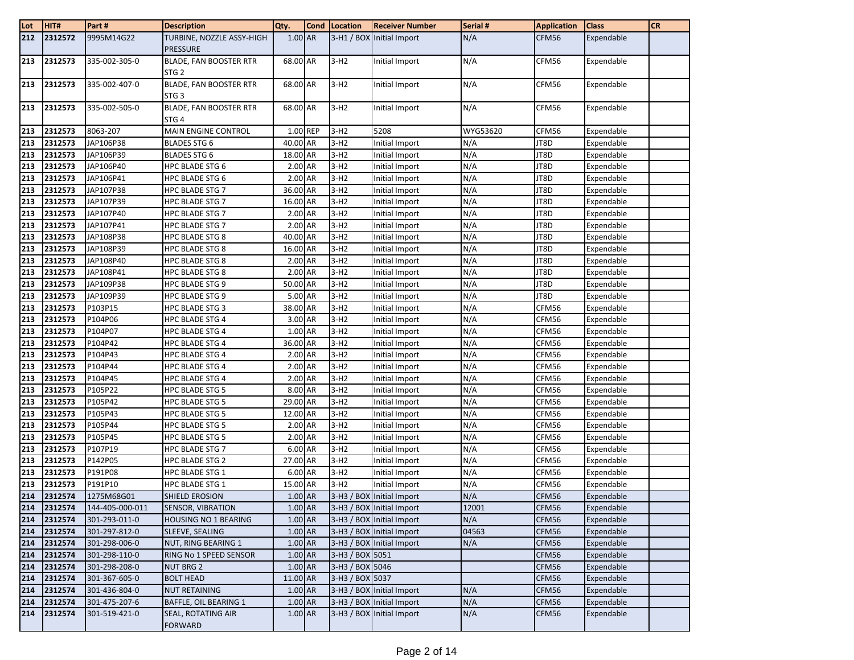| Lot | HIT#    | Part#           | <b>Description</b>                                | Qty.      | <b>Cond</b> Location | <b>Receiver Number</b>    | Serial # | <b>Application</b> | <b>Class</b> | <b>CR</b> |
|-----|---------|-----------------|---------------------------------------------------|-----------|----------------------|---------------------------|----------|--------------------|--------------|-----------|
| 212 | 2312572 | 9995M14G22      | TURBINE, NOZZLE ASSY-HIGH<br><b>PRESSURE</b>      | 1.00 AR   |                      | 3-H1 / BOX Initial Import | N/A      | CFM56              | Expendable   |           |
| 213 | 2312573 | 335-002-305-0   | <b>BLADE, FAN BOOSTER RTR</b><br>STG <sub>2</sub> | 68.00 AR  | $3-H2$               | Initial Import            | N/A      | CFM56              | Expendable   |           |
| 213 | 2312573 | 335-002-407-0   | BLADE, FAN BOOSTER RTR<br>STG <sub>3</sub>        | 68.00 AR  | $3-H2$               | Initial Import            | N/A      | CFM56              | Expendable   |           |
| 213 | 2312573 | 335-002-505-0   | <b>BLADE, FAN BOOSTER RTR</b><br>STG <sub>4</sub> | 68.00 AR  | $3-H2$               | Initial Import            | N/A      | CFM56              | Expendable   |           |
| 213 | 2312573 | 8063-207        | <b>MAIN ENGINE CONTROL</b>                        | 1.00 REP  | $3-H2$               | 5208                      | WYG53620 | CFM56              | Expendable   |           |
| 213 | 2312573 | JAP106P38       | <b>BLADES STG 6</b>                               | 40.00 AR  | $3-H2$               | Initial Import            | N/A      | JT8D               | Expendable   |           |
| 213 | 2312573 | JAP106P39       | <b>BLADES STG 6</b>                               | 18.00 AR  | $3-H2$               | Initial Import            | N/A      | JT8D               | Expendable   |           |
| 213 | 2312573 | JAP106P40       | HPC BLADE STG 6                                   | 2.00 AR   | $3-H2$               | Initial Import            | N/A      | JT8D               | Expendable   |           |
| 213 | 2312573 | JAP106P41       | <b>HPC BLADE STG 6</b>                            | 2.00 AR   | $3-H2$               | Initial Import            | N/A      | JT8D               | Expendable   |           |
| 213 | 2312573 | JAP107P38       | HPC BLADE STG 7                                   | 36.00 AR  | $3-H2$               | Initial Import            | N/A      | JT8D               | Expendable   |           |
| 213 | 2312573 | JAP107P39       | HPC BLADE STG 7                                   | 16.00 AR  | $3-H2$               | Initial Import            | N/A      | JT8D               | Expendable   |           |
| 213 | 2312573 | JAP107P40       | <b>HPC BLADE STG 7</b>                            | 2.00 AR   | $3-H2$               | Initial Import            | N/A      | JT8D               | Expendable   |           |
| 213 | 2312573 | JAP107P41       | <b>HPC BLADE STG 7</b>                            | 2.00 AR   | $3-H2$               | Initial Import            | N/A      | JT8D               | Expendable   |           |
| 213 | 2312573 | JAP108P38       | HPC BLADE STG 8                                   | 40.00 AR  | $3-H2$               | Initial Import            | N/A      | JT8D               | Expendable   |           |
| 213 | 2312573 | JAP108P39       | <b>HPC BLADE STG 8</b>                            | 16.00 AR  | $3-H2$               | Initial Import            | N/A      | JT8D               | Expendable   |           |
| 213 | 2312573 | JAP108P40       | HPC BLADE STG 8                                   | 2.00 AR   | $3-H2$               | Initial Import            | N/A      | JT8D               | Expendable   |           |
| 213 | 2312573 | JAP108P41       | HPC BLADE STG 8                                   | 2.00 AR   | $3-H2$               | Initial Import            | N/A      | JT8D               | Expendable   |           |
| 213 | 2312573 | JAP109P38       | <b>HPC BLADE STG 9</b>                            | 50.00 AR  | $3-H2$               | Initial Import            | N/A      | JT8D               | Expendable   |           |
| 213 | 2312573 | JAP109P39       | HPC BLADE STG 9                                   | 5.00 AR   | $3-H2$               | Initial Import            | N/A      | JT8D               | Expendable   |           |
| 213 | 2312573 | P103P15         | <b>HPC BLADE STG 3</b>                            | 38.00 AR  | $3-H2$               | Initial Import            | N/A      | CFM56              | Expendable   |           |
| 213 | 2312573 | P104P06         | HPC BLADE STG 4                                   | 3.00 AR   | $3-H2$               | Initial Import            | N/A      | CFM56              | Expendable   |           |
| 213 | 2312573 | P104P07         | HPC BLADE STG 4                                   | 1.00 AR   | $3-H2$               | Initial Import            | N/A      | CFM56              | Expendable   |           |
| 213 | 2312573 | P104P42         | <b>HPC BLADE STG 4</b>                            | 36.00 AR  | $3-H2$               | Initial Import            | N/A      | CFM56              | Expendable   |           |
| 213 | 2312573 | P104P43         | <b>HPC BLADE STG 4</b>                            | 2.00 AR   | $3-H2$               | Initial Import            | N/A      | CFM56              | Expendable   |           |
| 213 | 2312573 | P104P44         | <b>HPC BLADE STG 4</b>                            | 2.00 AR   | $3-H2$               | Initial Import            | N/A      | CFM56              | Expendable   |           |
| 213 | 2312573 | P104P45         | HPC BLADE STG 4                                   | 2.00 AR   | $3-H2$               | Initial Import            | N/A      | CFM56              | Expendable   |           |
| 213 | 2312573 | P105P22         | HPC BLADE STG 5                                   | 8.00 AR   | $3-H2$               | Initial Import            | N/A      | CFM56              | Expendable   |           |
| 213 | 2312573 | P105P42         | HPC BLADE STG 5                                   | 29.00 AR  | $3-H2$               | Initial Import            | N/A      | CFM56              | Expendable   |           |
| 213 | 2312573 | P105P43         | HPC BLADE STG 5                                   | 12.00 AR  | $3-H2$               | Initial Import            | N/A      | CFM56              | Expendable   |           |
| 213 | 2312573 | P105P44         | HPC BLADE STG 5                                   | 2.00 AR   | $3-H2$               | Initial Import            | N/A      | CFM56              | Expendable   |           |
| 213 | 2312573 | P105P45         | <b>HPC BLADE STG 5</b>                            | 2.00 AR   | $3-H2$               | Initial Import            | N/A      | CFM56              | Expendable   |           |
| 213 | 2312573 | P107P19         | HPC BLADE STG 7                                   | 6.00 AR   | $3-H2$               | Initial Import            | N/A      | CFM56              | Expendable   |           |
| 213 | 2312573 | P142P05         | HPC BLADE STG 2                                   | 27.00 AR  | $3-H2$               | Initial Import            | N/A      | CFM56              | Expendable   |           |
| 213 | 2312573 | P191P08         | HPC BLADE STG 1                                   | 6.00 AR   | $3-H2$               | Initial Import            | N/A      | CFM56              | Expendable   |           |
| 213 | 2312573 | P191P10         | HPC BLADE STG 1                                   | 15.00 AR  | $3-H2$               | Initial Import            | N/A      | CFM56              | Expendable   |           |
| 214 | 2312574 | 1275M68G01      | SHIELD EROSION                                    | 1.00 AR   |                      | 3-H3 / BOX Initial Import | N/A      | CFM56              | Expendable   |           |
| 214 | 2312574 | 144-405-000-011 | <b>SENSOR, VIBRATION</b>                          | 1.00 AR   |                      | 3-H3 / BOX Initial Import | 12001    | CFM56              | Expendable   |           |
| 214 | 2312574 | 301-293-011-0   | <b>HOUSING NO 1 BEARING</b>                       | 1.00 AR   |                      | 3-H3 / BOX Initial Import | N/A      | CFM56              | Expendable   |           |
| 214 | 2312574 | 301-297-812-0   | SLEEVE, SEALING                                   | 1.00 AR   |                      | 3-H3 / BOX Initial Import | 04563    | CFM56              | Expendable   |           |
| 214 | 2312574 | 301-298-006-0   | <b>NUT, RING BEARING 1</b>                        | 1.00 AR   |                      | 3-H3 / BOX Initial Import | N/A      | CFM56              | Expendable   |           |
| 214 | 2312574 | 301-298-110-0   | RING No 1 SPEED SENSOR                            | 1.00 AR   | 3-H3 / BOX 5051      |                           |          | CFM56              | Expendable   |           |
| 214 | 2312574 | 301-298-208-0   | <b>NUT BRG 2</b>                                  | 1.00 AR   | 3-H3 / BOX 5046      |                           |          | CFM56              | Expendable   |           |
| 214 | 2312574 | 301-367-605-0   | <b>BOLT HEAD</b>                                  | 11.00 AR  | 3-H3 / BOX 5037      |                           |          | CFM56              | Expendable   |           |
| 214 | 2312574 | 301-436-804-0   | <b>NUT RETAINING</b>                              | 1.00 AR   |                      | 3-H3 / BOX Initial Import | N/A      | CFM56              | Expendable   |           |
| 214 | 2312574 | 301-475-207-6   | BAFFLE, OIL BEARING 1                             | 1.00 AR   |                      | 3-H3 / BOX Initial Import | N/A      | CFM56              | Expendable   |           |
| 214 | 2312574 | 301-519-421-0   | SEAL, ROTATING AIR<br><b>FORWARD</b>              | $1.00$ AR |                      | 3-H3 / BOX Initial Import | N/A      | CFM56              | Expendable   |           |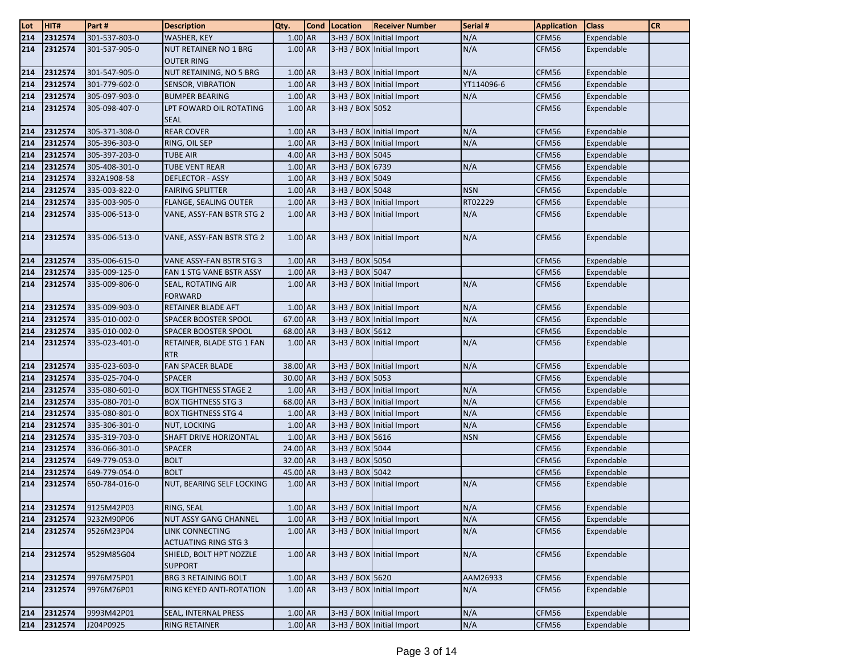| Lot | HIT#    | Part#         | <b>Description</b>                             | Qty.      | <b>Cond</b> | Location        | <b>Receiver Number</b>    | Serial #   | <b>Application</b> | <b>Class</b> | <b>CR</b> |
|-----|---------|---------------|------------------------------------------------|-----------|-------------|-----------------|---------------------------|------------|--------------------|--------------|-----------|
| 214 | 2312574 | 301-537-803-0 | WASHER, KEY                                    | 1.00 AR   |             |                 | 3-H3 / BOX Initial Import | N/A        | CFM56              | Expendable   |           |
| 214 | 2312574 | 301-537-905-0 | NUT RETAINER NO 1 BRG<br><b>OUTER RING</b>     | 1.00 AR   |             |                 | 3-H3 / BOX Initial Import | N/A        | CFM56              | Expendable   |           |
| 214 | 2312574 | 301-547-905-0 | NUT RETAINING, NO 5 BRG                        | 1.00 AR   |             |                 | 3-H3 / BOX Initial Import | N/A        | CFM56              | Expendable   |           |
| 214 | 2312574 | 301-779-602-0 | <b>SENSOR, VIBRATION</b>                       | $1.00$ AR |             |                 | 3-H3 / BOX Initial Import | YT114096-6 | CFM56              | Expendable   |           |
| 214 | 2312574 | 305-097-903-0 | <b>BUMPER BEARING</b>                          | 1.00 AR   |             |                 | 3-H3 / BOX Initial Import | N/A        | CFM56              | Expendable   |           |
| 214 | 2312574 | 305-098-407-0 | LPT FOWARD OIL ROTATING<br><b>SEAL</b>         | 1.00 AR   |             | 3-H3 / BOX 5052 |                           |            | CFM56              | Expendable   |           |
| 214 | 2312574 | 305-371-308-0 | <b>REAR COVER</b>                              | 1.00 AR   |             |                 | 3-H3 / BOX Initial Import | N/A        | CFM56              | Expendable   |           |
| 214 | 2312574 | 305-396-303-0 | RING, OIL SEP                                  | 1.00 AR   |             |                 | 3-H3 / BOX Initial Import | N/A        | CFM56              | Expendable   |           |
| 214 | 2312574 | 305-397-203-0 | <b>TUBE AIR</b>                                | $4.00$ AR |             | 3-H3 / BOX 5045 |                           |            | CFM56              | Expendable   |           |
| 214 | 2312574 | 305-408-301-0 | <b>TUBE VENT REAR</b>                          | $1.00$ AR |             | 3-H3 / BOX 6739 |                           | N/A        | CFM56              | Expendable   |           |
| 214 | 2312574 | 332A1908-58   | <b>DEFLECTOR - ASSY</b>                        | 1.00 AR   |             | 3-H3 / BOX 5049 |                           |            | CFM56              | Expendable   |           |
| 214 | 2312574 | 335-003-822-0 | <b>FAIRING SPLITTER</b>                        | 1.00 AR   |             | 3-H3 / BOX 5048 |                           | <b>NSN</b> | CFM56              | Expendable   |           |
| 214 | 2312574 | 335-003-905-0 | <b>FLANGE, SEALING OUTER</b>                   | $1.00$ AR |             |                 | 3-H3 / BOX Initial Import | RT02229    | CFM56              | Expendable   |           |
| 214 | 2312574 | 335-006-513-0 | VANE, ASSY-FAN BSTR STG 2                      | 1.00 AR   |             |                 | 3-H3 / BOX Initial Import | N/A        | CFM56              | Expendable   |           |
| 214 | 2312574 | 335-006-513-0 | VANE, ASSY-FAN BSTR STG 2                      | 1.00 AR   |             |                 | 3-H3 / BOX Initial Import | N/A        | CFM56              | Expendable   |           |
| 214 | 2312574 | 335-006-615-0 | VANE ASSY-FAN BSTR STG 3                       | $1.00$ AR |             | 3-H3 / BOX 5054 |                           |            | CFM56              | Expendable   |           |
| 214 | 2312574 | 335-009-125-0 | FAN 1 STG VANE BSTR ASSY                       | 1.00 AR   |             | 3-H3 / BOX 5047 |                           |            | CFM56              | Expendable   |           |
| 214 | 2312574 | 335-009-806-0 | SEAL, ROTATING AIR<br><b>FORWARD</b>           | 1.00 AR   |             |                 | 3-H3 / BOX Initial Import | N/A        | CFM56              | Expendable   |           |
| 214 | 2312574 | 335-009-903-0 | RETAINER BLADE AFT                             | 1.00 AR   |             |                 | 3-H3 / BOX Initial Import | N/A        | CFM56              | Expendable   |           |
| 214 | 2312574 | 335-010-002-0 | SPACER BOOSTER SPOOL                           | 67.00 AR  |             |                 | 3-H3 / BOX Initial Import | N/A        | CFM56              | Expendable   |           |
| 214 | 2312574 | 335-010-002-0 | SPACER BOOSTER SPOOL                           | 68.00 AR  |             | 3-H3 / BOX 5612 |                           |            | CFM56              | Expendable   |           |
| 214 | 2312574 | 335-023-401-0 | RETAINER, BLADE STG 1 FAN<br><b>RTR</b>        | 1.00 AR   |             |                 | 3-H3 / BOX Initial Import | N/A        | CFM56              | Expendable   |           |
| 214 | 2312574 | 335-023-603-0 | <b>FAN SPACER BLADE</b>                        | 38.00 AR  |             |                 | 3-H3 / BOX Initial Import | N/A        | CFM56              | Expendable   |           |
| 214 | 2312574 | 335-025-704-0 | SPACER                                         | 30.00 AR  |             | 3-H3 / BOX 5053 |                           |            | CFM56              | Expendable   |           |
| 214 | 2312574 | 335-080-601-0 | <b>BOX TIGHTNESS STAGE 2</b>                   | 1.00 AR   |             |                 | 3-H3 / BOX Initial Import | N/A        | CFM56              | Expendable   |           |
| 214 | 2312574 | 335-080-701-0 | <b>BOX TIGHTNESS STG 3</b>                     | 68.00 AR  |             |                 | 3-H3 / BOX Initial Import | N/A        | CFM56              | Expendable   |           |
| 214 | 2312574 | 335-080-801-0 | <b>BOX TIGHTNESS STG 4</b>                     | 1.00 AR   |             |                 | 3-H3 / BOX Initial Import | N/A        | CFM56              | Expendable   |           |
| 214 | 2312574 | 335-306-301-0 | NUT, LOCKING                                   | $1.00$ AR |             |                 | 3-H3 / BOX Initial Import | N/A        | CFM56              | Expendable   |           |
| 214 | 2312574 | 335-319-703-0 | SHAFT DRIVE HORIZONTAL                         | 1.00 AR   |             | 3-H3 / BOX 5616 |                           | <b>NSN</b> | CFM56              | Expendable   |           |
| 214 | 2312574 | 336-066-301-0 | <b>SPACER</b>                                  | 24.00 AR  |             | 3-H3 / BOX 5044 |                           |            | CFM56              | Expendable   |           |
| 214 | 2312574 | 649-779-053-0 | <b>BOLT</b>                                    | 32.00 AR  |             | 3-H3 / BOX 5050 |                           |            | CFM56              | Expendable   |           |
| 214 | 2312574 | 649-779-054-0 | <b>BOLT</b>                                    | 45.00 AR  |             | 3-H3 / BOX 5042 |                           |            | CFM56              | Expendable   |           |
| 214 | 2312574 | 650-784-016-0 | NUT, BEARING SELF LOCKING                      | 1.00 AR   |             |                 | 3-H3 / BOX Initial Import | N/A        | CFM56              | Expendable   |           |
| 214 | 2312574 | 9125M42P03    | RING, SEAL                                     | 1.00 AR   |             |                 | 3-H3 / BOX Initial Import | N/A        | CFM56              | Expendable   |           |
| 214 | 2312574 | 9232M90P06    | NUT ASSY GANG CHANNEL                          | 1.00 AR   |             |                 | 3-H3 / BOX Initial Import | N/A        | CFM56              | Expendable   |           |
| 214 | 2312574 | 9526M23P04    | LINK CONNECTING<br><b>ACTUATING RING STG 3</b> | 1.00 AR   |             |                 | 3-H3 / BOX Initial Import | N/A        | CFM56              | Expendable   |           |
| 214 | 2312574 | 9529M85G04    | SHIELD, BOLT HPT NOZZLE<br><b>SUPPORT</b>      | 1.00 AR   |             |                 | 3-H3 / BOX Initial Import | N/A        | CFM56              | Expendable   |           |
| 214 | 2312574 | 9976M75P01    | BRG 3 RETAINING BOLT                           | $1.00$ AR |             | 3-H3 / BOX 5620 |                           | AAM26933   | CFM56              | Expendable   |           |
| 214 | 2312574 | 9976M76P01    | RING KEYED ANTI-ROTATION                       | 1.00 AR   |             |                 | 3-H3 / BOX Initial Import | N/A        | CFM56              | Expendable   |           |
| 214 | 2312574 | 9993M42P01    | SEAL, INTERNAL PRESS                           | 1.00 AR   |             |                 | 3-H3 / BOX Initial Import | N/A        | CFM56              | Expendable   |           |
| 214 | 2312574 | J204P0925     | RING RETAINER                                  | 1.00 AR   |             |                 | 3-H3 / BOX Initial Import | N/A        | CFM56              | Expendable   |           |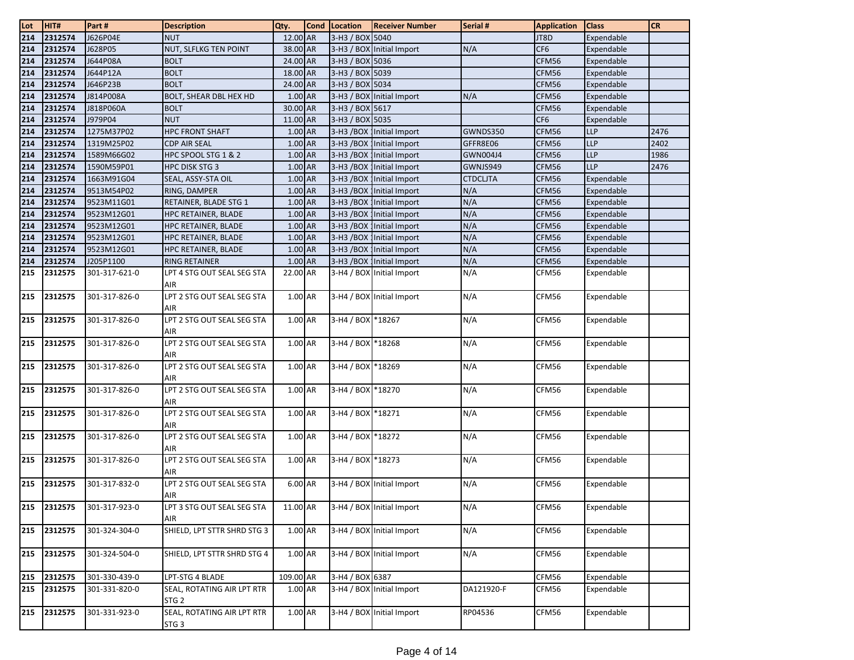| Lot | HIT#        | Part#         | <b>Description</b>                             | Qty.      | <b>Cond</b> | Location          | <b>Receiver Number</b>      | Serial #        | <b>Application</b> | <b>Class</b> | <b>CR</b> |
|-----|-------------|---------------|------------------------------------------------|-----------|-------------|-------------------|-----------------------------|-----------------|--------------------|--------------|-----------|
| 214 | 2312574     | J626P04E      | <b>NUT</b>                                     | 12.00 AR  |             | 3-H3 / BOX 5040   |                             |                 | JT8D               | Expendable   |           |
| 214 | 2312574     | J628P05       | NUT, SLFLKG TEN POINT                          | 38.00 AR  |             |                   | 3-H3 / BOX Initial Import   | N/A             | CF <sub>6</sub>    | Expendable   |           |
| 214 | 2312574     | J644P08A      | <b>BOLT</b>                                    | 24.00 AR  |             | 3-H3 / BOX 5036   |                             |                 | CFM56              | Expendable   |           |
| 214 | 2312574     | J644P12A      | <b>BOLT</b>                                    | 18.00 AR  |             | 3-H3 / BOX 5039   |                             |                 | CFM56              | Expendable   |           |
| 214 | 2312574     | J646P23B      | <b>BOLT</b>                                    | 24.00 AR  |             | 3-H3 / BOX 5034   |                             |                 | CFM56              | Expendable   |           |
| 214 | 2312574     | J814P008A     | BOLT, SHEAR DBL HEX HD                         | 1.00 AR   |             |                   | 3-H3 / BOX Initial Import   | N/A             | CFM56              | Expendable   |           |
| 214 | 2312574     | J818P060A     | <b>BOLT</b>                                    | 30.00 AR  |             | 3-H3 / BOX 5617   |                             |                 | CFM56              | Expendable   |           |
| 214 | 2312574     | J979P04       | <b>NUT</b>                                     | 11.00 AR  |             | 3-H3 / BOX 5035   |                             |                 | CF <sub>6</sub>    | Expendable   |           |
| 214 | 2312574     | 1275M37P02    | <b>HPC FRONT SHAFT</b>                         | 1.00 AR   |             |                   | 3-H3 /BOX   Initial Import  | GWNDS350        | CFM56              | <b>LLP</b>   | 2476      |
| 214 | 2312574     | 1319M25P02    | <b>CDP AIR SEAL</b>                            | 1.00 AR   |             |                   | 3-H3 / BOX   Initial Import | GFFR8E06        | CFM56              | <b>LLP</b>   | 2402      |
| 214 | 2312574     | 1589M66G02    | HPC SPOOL STG 1 & 2                            | 1.00 AR   |             |                   | 3-H3 / BOX   Initial Import | GWN004J4        | CFM56              | <b>LLP</b>   | 1986      |
| 214 | 2312574     | 1590M59P01    | HPC DISK STG 3                                 | 1.00 AR   |             |                   | 3-H3 / BOX   Initial Import | GWNJS949        | CFM56              | <b>LLP</b>   | 2476      |
| 214 | 2312574     | 1663M91G04    | SEAL, ASSY-STA OIL                             | 1.00 AR   |             |                   | 3-H3 / BOX   Initial Import | <b>CTDCLJTA</b> | CFM56              | Expendable   |           |
| 214 | 2312574     | 9513M54P02    | RING, DAMPER                                   | 1.00 AR   |             |                   | 3-H3 / BOX Initial Import   | N/A             | CFM56              | Expendable   |           |
| 214 | 2312574     | 9523M11G01    | RETAINER, BLADE STG 1                          | 1.00 AR   |             |                   | 3-H3 / BOX Initial Import   | N/A             | CFM56              | Expendable   |           |
| 214 | 2312574     | 9523M12G01    | HPC RETAINER, BLADE                            | 1.00 AR   |             |                   | 3-H3 / BOX   Initial Import | N/A             | CFM56              | Expendable   |           |
| 214 | 2312574     | 9523M12G01    | HPC RETAINER, BLADE                            | 1.00 AR   |             |                   | 3-H3 / BOX Initial Import   | N/A             | CFM56              | Expendable   |           |
| 214 | 2312574     | 9523M12G01    | HPC RETAINER, BLADE                            | 1.00 AR   |             |                   | 3-H3 / BOX   Initial Import | N/A             | CFM56              | Expendable   |           |
| 214 | 2312574     | 9523M12G01    | HPC RETAINER, BLADE                            | 1.00 AR   |             |                   | 3-H3 / BOX   Initial Import | N/A             | CFM56              | Expendable   |           |
| 214 | 2312574     | J205P1100     | RING RETAINER                                  | 1.00 AR   |             |                   | 3-H3 / BOX   Initial Import | N/A             | CFM56              | Expendable   |           |
| 215 | 2312575     | 301-317-621-0 | LPT 4 STG OUT SEAL SEG STA                     | 22.00 AR  |             |                   | 3-H4 / BOX Initial Import   | N/A             | CFM56              | Expendable   |           |
|     |             |               | AIR                                            |           |             |                   |                             |                 |                    |              |           |
| 215 | 2312575     | 301-317-826-0 | LPT 2 STG OUT SEAL SEG STA                     | 1.00 AR   |             |                   | 3-H4 / BOX Initial Import   | N/A             | CFM56              | Expendable   |           |
|     |             |               | AIR                                            |           |             |                   |                             |                 |                    |              |           |
| 215 | 2312575     | 301-317-826-0 | LPT 2 STG OUT SEAL SEG STA                     | 1.00 AR   |             | $3-H4/BOX$        | *18267                      | N/A             | CFM56              | Expendable   |           |
|     |             |               | AIR                                            |           |             |                   |                             |                 |                    |              |           |
| 215 | 2312575     | 301-317-826-0 | LPT 2 STG OUT SEAL SEG STA                     | 1.00 AR   |             | 3-H4 / BOX *18268 |                             | N/A             | CFM56              | Expendable   |           |
|     |             |               | AIR                                            |           |             |                   |                             |                 |                    |              |           |
| 215 | 2312575     | 301-317-826-0 | LPT 2 STG OUT SEAL SEG STA                     | 1.00 AR   |             | 3-H4 / BOX *18269 |                             | N/A             | CFM56              | Expendable   |           |
|     |             |               | AIR                                            |           |             |                   |                             |                 |                    |              |           |
| 215 | 2312575     | 301-317-826-0 | LPT 2 STG OUT SEAL SEG STA                     | 1.00 AR   |             | $3-H4 / BOX$      | *18270                      | N/A             | CFM56              | Expendable   |           |
|     |             |               | AIR                                            |           |             |                   |                             |                 |                    |              |           |
| 215 | 2312575     | 301-317-826-0 | LPT 2 STG OUT SEAL SEG STA                     | 1.00 AR   |             | 3-H4 / BOX *18271 |                             | N/A             | CFM56              | Expendable   |           |
|     |             |               | AIR                                            |           |             |                   |                             |                 |                    |              |           |
| 215 | 2312575     | 301-317-826-0 | LPT 2 STG OUT SEAL SEG STA                     | 1.00 AR   |             | 3-H4 / BOX *18272 |                             | N/A             | CFM56              | Expendable   |           |
|     |             |               | AIR                                            |           |             |                   |                             |                 |                    |              |           |
| 215 | 2312575     | 301-317-826-0 | LPT 2 STG OUT SEAL SEG STA                     | 1.00 AR   |             | 3-H4 / BOX 18273  |                             | N/A             | CFM56              | Expendable   |           |
|     |             |               | AIR                                            |           |             |                   |                             |                 |                    |              |           |
| 215 | 2312575     | 301-317-832-0 | LPT 2 STG OUT SEAL SEG STA                     | $6.00$ AR |             |                   | 3-H4 / BOX Initial Import   | N/A             | CFM56              | Expendable   |           |
|     |             |               | AIR                                            |           |             |                   |                             |                 |                    |              |           |
|     | 215 2312575 | 301-317-923-0 | LPT 3 STG OUT SEAL SEG STA                     | 11.00 AR  |             |                   | 3-H4 / BOX Initial Import   | N/A             | CFM56              | Expendable   |           |
|     |             |               | AIR                                            |           |             |                   |                             |                 |                    |              |           |
| 215 | 2312575     | 301-324-304-0 | SHIELD, LPT STTR SHRD STG 3                    | 1.00 AR   |             |                   | 3-H4 / BOX Initial Import   | N/A             | CFM56              | Expendable   |           |
|     |             |               |                                                |           |             |                   |                             |                 |                    |              |           |
| 215 | 2312575     | 301-324-504-0 | SHIELD, LPT STTR SHRD STG 4                    | 1.00 AR   |             |                   | 3-H4 / BOX Initial Import   | N/A             | CFM56              | Expendable   |           |
|     | 2312575     |               |                                                | 109.00 AR |             |                   |                             |                 |                    |              |           |
| 215 |             | 301-330-439-0 | LPT-STG 4 BLADE                                |           |             | 3-H4 / BOX 6387   |                             |                 | CFM56              | Expendable   |           |
| 215 | 2312575     | 301-331-820-0 | SEAL, ROTATING AIR LPT RTR<br>STG <sub>2</sub> | 1.00 AR   |             |                   | 3-H4 / BOX Initial Import   | DA121920-F      | CFM56              | Expendable   |           |
| 215 | 2312575     | 301-331-923-0 | SEAL, ROTATING AIR LPT RTR                     | 1.00 AR   |             |                   | 3-H4 / BOX Initial Import   | RP04536         | CFM56              | Expendable   |           |
|     |             |               | STG <sub>3</sub>                               |           |             |                   |                             |                 |                    |              |           |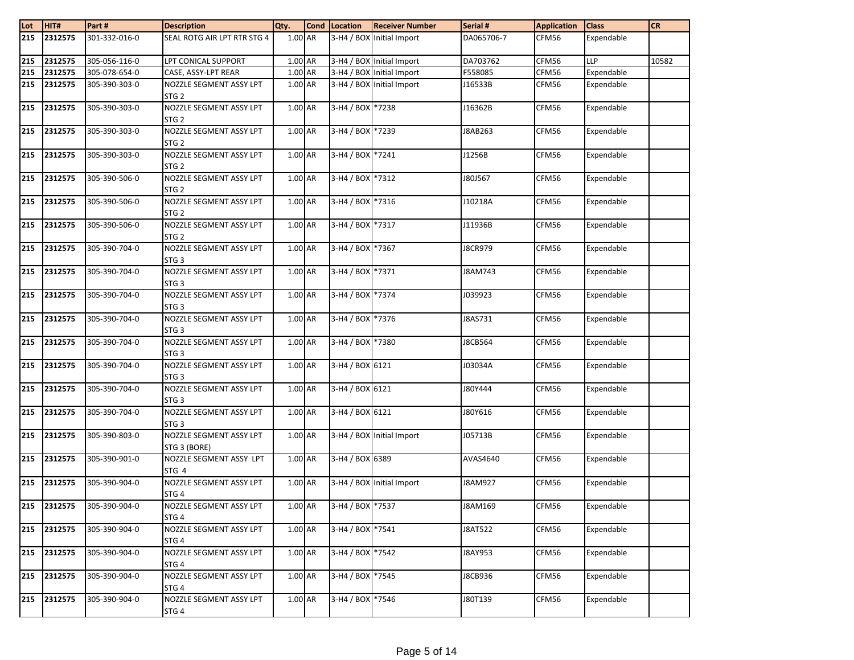| Lot | HIT#         | Part#         | <b>Description</b>                          | Qty.      | Cond Location    | <b>Receiver Number</b>    | Serial #       | <b>Application</b> | <b>Class</b> | <b>CR</b> |
|-----|--------------|---------------|---------------------------------------------|-----------|------------------|---------------------------|----------------|--------------------|--------------|-----------|
| 215 | 2312575      | 301-332-016-0 | SEAL ROTG AIR LPT RTR STG 4                 | 1.00 AR   |                  | 3-H4 / BOX Initial Import | DA065706-7     | CFM56              | Expendable   |           |
| 215 | 2312575      | 305-056-116-0 | LPT CONICAL SUPPORT                         | 1.00 AR   |                  | 3-H4 / BOX Initial Import | DA703762       | CFM56              | <b>LLP</b>   | 10582     |
| 215 | 2312575      | 305-078-654-0 | CASE, ASSY-LPT REAR                         | 1.00 AR   |                  | 3-H4 / BOX Initial Import | F558085        | CFM56              | Expendable   |           |
| 215 | 2312575      | 305-390-303-0 | NOZZLE SEGMENT ASSY LPT<br>STG <sub>2</sub> | 1.00 AR   |                  | 3-H4 / BOX Initial Import | J16533B        | CFM56              | Expendable   |           |
| 215 | 2312575      | 305-390-303-0 | NOZZLE SEGMENT ASSY LPT<br>STG <sub>2</sub> | 1.00 AR   | 3-H4 / BOX *7238 |                           | J16362B        | CFM56              | Expendable   |           |
| 215 | 2312575      | 305-390-303-0 | NOZZLE SEGMENT ASSY LPT<br>STG <sub>2</sub> | 1.00 AR   | 3-H4 / BOX *7239 |                           | J8AB263        | CFM56              | Expendable   |           |
| 215 | 2312575      | 305-390-303-0 | NOZZLE SEGMENT ASSY LPT<br>STG <sub>2</sub> | 1.00 AR   | 3-H4 / BOX *7241 |                           | J1256B         | CFM56              | Expendable   |           |
| 215 | 2312575      | 305-390-506-0 | NOZZLE SEGMENT ASSY LPT<br>STG <sub>2</sub> | 1.00 AR   | 3-H4 / BOX *7312 |                           | J80J567        | CFM56              | Expendable   |           |
| 215 | 2312575      | 305-390-506-0 | NOZZLE SEGMENT ASSY LPT<br>STG <sub>2</sub> | 1.00 AR   | 3-H4 / BOX *7316 |                           | J10218A        | CFM56              | Expendable   |           |
| 215 | 2312575      | 305-390-506-0 | NOZZLE SEGMENT ASSY LPT<br>STG <sub>2</sub> | $1.00$ AR | 3-H4 / BOX *7317 |                           | J11936B        | CFM56              | Expendable   |           |
| 215 | 2312575      | 305-390-704-0 | NOZZLE SEGMENT ASSY LPT<br>STG <sub>3</sub> | 1.00 AR   | 3-H4 / BOX *7367 |                           | <b>J8CR979</b> | CFM56              | Expendable   |           |
| 215 | 2312575      | 305-390-704-0 | NOZZLE SEGMENT ASSY LPT<br>STG <sub>3</sub> | 1.00 AR   | 3-H4 / BOX *7371 |                           | J8AM743        | CFM56              | Expendable   |           |
| 215 | 2312575      | 305-390-704-0 | NOZZLE SEGMENT ASSY LPT<br>STG <sub>3</sub> | 1.00 AR   | 3-H4 / BOX *7374 |                           | J039923        | CFM56              | Expendable   |           |
| 215 | 2312575      | 305-390-704-0 | NOZZLE SEGMENT ASSY LPT<br>STG <sub>3</sub> | 1.00 AR   | 3-H4 / BOX *7376 |                           | J8AS731        | CFM56              | Expendable   |           |
| 215 | 2312575      | 305-390-704-0 | NOZZLE SEGMENT ASSY LPT<br>STG <sub>3</sub> | 1.00 AR   | $3-H4 / BOX$     | *7380                     | J8CB564        | CFM56              | Expendable   |           |
| 215 | 2312575      | 305-390-704-0 | NOZZLE SEGMENT ASSY LPT<br>STG <sub>3</sub> | 1.00 AR   | 3-H4 / BOX 6121  |                           | J03034A        | CFM56              | Expendable   |           |
| 215 | 2312575      | 305-390-704-0 | NOZZLE SEGMENT ASSY LPT<br>STG <sub>3</sub> | 1.00 AR   | 3-H4 / BOX 6121  |                           | J80Y444        | CFM56              | Expendable   |           |
| 215 | 2312575      | 305-390-704-0 | NOZZLE SEGMENT ASSY LPT<br>STG <sub>3</sub> | 1.00 AR   | 3-H4 / BOX 6121  |                           | J80Y616        | CFM56              | Expendable   |           |
| 215 | 2312575      | 305-390-803-0 | NOZZLE SEGMENT ASSY LPT<br>STG 3 (BORE)     | 1.00 AR   |                  | 3-H4 / BOX Initial Import | J05713B        | CFM56              | Expendable   |           |
| 215 | 2312575      | 305-390-901-0 | NOZZLE SEGMENT ASSY LPT<br>STG 4            | 1.00 AR   | 3-H4 / BOX 6389  |                           | AVAS4640       | CFM56              | Expendable   |           |
| 215 | 2312575      | 305-390-904-0 | NOZZLE SEGMENT ASSY LPT<br>STG <sub>4</sub> | $1.00$ AR |                  | 3-H4 / BOX Initial Import | J8AM927        | CFM56              | Expendable   |           |
|     | 215  2312575 | 305-390-904-0 | NOZZLE SEGMENT ASSY LPT<br>STG <sub>4</sub> | 1.00 AR   | 3-H4 / BOX *7537 |                           | J8AM169        | CFM56              | Expendable   |           |
| 215 | 2312575      | 305-390-904-0 | NOZZLE SEGMENT ASSY LPT<br>STG <sub>4</sub> | 1.00 AR   | 3-H4 / BOX *7541 |                           | <b>J8AT522</b> | CFM56              | Expendable   |           |
| 215 | 2312575      | 305-390-904-0 | NOZZLE SEGMENT ASSY LPT<br>STG <sub>4</sub> | 1.00 AR   | 3-H4 / BOX *7542 |                           | J8AY953        | CFM56              | Expendable   |           |
| 215 | 2312575      | 305-390-904-0 | NOZZLE SEGMENT ASSY LPT<br>STG <sub>4</sub> | 1.00 AR   | 3-H4 / BOX *7545 |                           | J8CB936        | CFM56              | Expendable   |           |
| 215 | 2312575      | 305-390-904-0 | NOZZLE SEGMENT ASSY LPT<br>STG <sub>4</sub> | 1.00 AR   | 3-H4 / BOX *7546 |                           | J80T139        | CFM56              | Expendable   |           |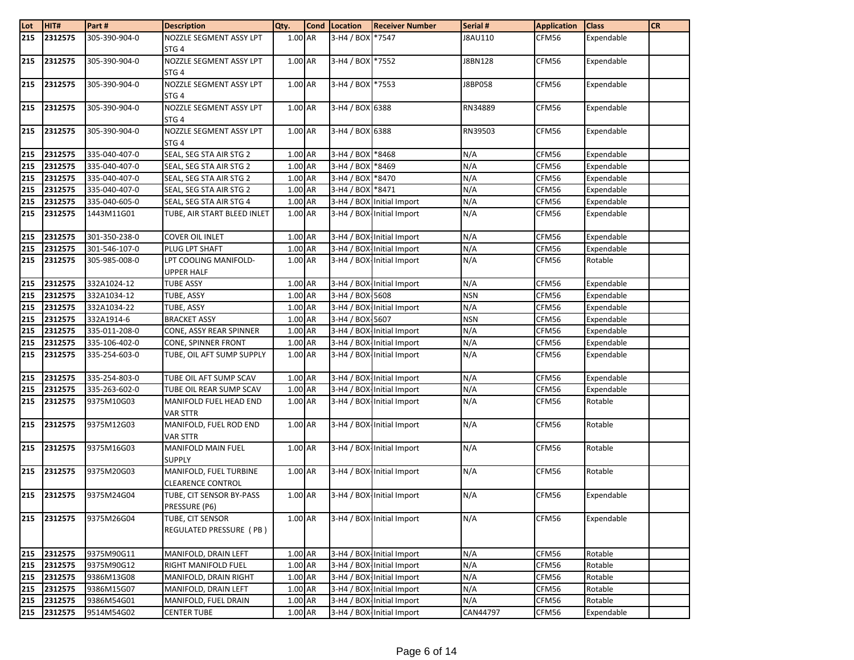| 215<br>2312575<br>305-390-904-0<br>NOZZLE SEGMENT ASSY LPT<br>1.00 AR<br>3-H4 / BOX *7547<br>J8AU110<br>CFM56<br>Expendable<br>STG <sub>4</sub><br>2312575<br>NOZZLE SEGMENT ASSY LPT<br>1.00 AR<br>3-H4 / BOX *7552<br>215<br>305-390-904-0<br>J8BN128<br>CFM56<br>Expendable<br>STG <sub>4</sub><br>3-H4 / BOX *7553<br>2312575<br>305-390-904-0<br>NOZZLE SEGMENT ASSY LPT<br>1.00 AR<br>Expendable<br>215<br>J8BP058<br>CFM56<br>STG <sub>4</sub><br>2312575<br>305-390-904-0<br>NOZZLE SEGMENT ASSY LPT<br>1.00 AR<br>3-H4 / BOX 6388<br>215<br>RN34889<br>CFM56<br>Expendable<br>STG <sub>4</sub><br>2312575<br>305-390-904-0<br>NOZZLE SEGMENT ASSY LPT<br>1.00 AR<br>3-H4 / BOX 6388<br>Expendable<br>215<br>RN39503<br>CFM56<br>STG <sub>4</sub><br>3-H4 / BOX *8468<br>215<br>2312575<br>335-040-407-0<br>SEAL, SEG STA AIR STG 2<br>1.00 AR<br>N/A<br>CFM56<br>Expendable<br>215<br>2312575<br>N/A<br>335-040-407-0<br>1.00 AR<br>3-H4 / BOX *8469<br>CFM56<br>Expendable<br>SEAL, SEG STA AIR STG 2<br>215<br>2312575<br>1.00 AR<br>3-H4 / BOX *8470<br>N/A<br>335-040-407-0<br>SEAL, SEG STA AIR STG 2<br>CFM56<br>Expendable<br>N/A<br>215<br>2312575<br>335-040-407-0<br>SEAL, SEG STA AIR STG 2<br>1.00 AR<br>3-H4 / BOX *8471<br>CFM56<br>Expendable<br>N/A<br>215<br>2312575<br>1.00 AR<br>3-H4 / BOX Initial Import<br>335-040-605-0<br>SEAL, SEG STA AIR STG 4<br>CFM56<br>Expendable<br>N/A<br>215<br>2312575<br>1.00 AR<br>3-H4 / BOX-Initial Import<br>Expendable<br>1443M11G01<br>TUBE, AIR START BLEED INLET<br>CFM56<br>N/A<br>2312575<br>301-350-238-0<br><b>COVER OIL INLET</b><br>1.00 AR<br>3-H4 / BOX-Initial Import<br>CFM56<br>Expendable<br>215<br>N/A<br>215<br>2312575<br>Expendable<br>301-546-107-0<br>PLUG LPT SHAFT<br>1.00 AR<br>3-H4 / BOX-Initial Import<br>CFM56<br>1.00 AR<br>N/A<br>215<br>2312575<br>305-985-008-0<br>LPT COOLING MANIFOLD-<br>3-H4 / BOX-Initial Import<br>CFM56<br>Rotable<br><b>UPPER HALF</b><br>2312575<br>332A1024-12<br>N/A<br>215<br><b>TUBE ASSY</b><br>1.00 AR<br>3-H4 / BOX-Initial Import<br>CFM56<br>Expendable<br>215<br>2312575<br>1.00 AR<br>3-H4 / BOX-5608<br><b>NSN</b><br>332A1034-12<br>TUBE, ASSY<br>CFM56<br>Expendable<br>215<br>2312575<br>332A1034-22<br>1.00 AR<br>N/A<br>Expendable<br>TUBE, ASSY<br>3-H4 / BOX-Initial Import<br>CFM56<br>3-H4 / BOX-5607<br>215<br>2312575<br>332A1914-6<br><b>BRACKET ASSY</b><br>1.00 AR<br><b>NSN</b><br>CFM56<br>Expendable<br>215<br>N/A<br>2312575<br>335-011-208-0<br>1.00 AR<br>3-H4 / BOX-Initial Import<br>Expendable<br>CONE, ASSY REAR SPINNER<br>CFM56<br>N/A<br>215<br>2312575<br>$1.00$ AR<br>3-H4 / BOX-Initial Import<br>CFM56<br>Expendable<br>335-106-402-0<br>CONE, SPINNER FRONT<br>N/A<br>215<br>2312575<br>1.00 AR<br>3-H4 / BOX-Initial Import<br>335-254-603-0<br>TUBE, OIL AFT SUMP SUPPLY<br>CFM56<br>Expendable<br>N/A<br>215<br>2312575<br>335-254-803-0<br>TUBE OIL AFT SUMP SCAV<br>1.00 AR<br>3-H4 / BOX-Initial Import<br>Expendable<br>CFM56<br>215<br>2312575<br>335-263-602-0<br>1.00 AR<br>3-H4 / BOX-Initial Import<br>N/A<br>Expendable<br>TUBE OIL REAR SUMP SCAV<br>CFM56<br>$1.00$ AR<br>3-H4 / BOX-Initial Import<br>215<br>2312575<br>N/A<br>9375M10G03<br>MANIFOLD FUEL HEAD END<br>CFM56<br>Rotable<br><b>VAR STTR</b> | Lot | HIT#    | Part#      | <b>Description</b>     | Qty. | Cond Location | <b>Receiver Number</b> | Serial # | <b>Application</b> | <b>Class</b> | <b>CR</b> |
|---------------------------------------------------------------------------------------------------------------------------------------------------------------------------------------------------------------------------------------------------------------------------------------------------------------------------------------------------------------------------------------------------------------------------------------------------------------------------------------------------------------------------------------------------------------------------------------------------------------------------------------------------------------------------------------------------------------------------------------------------------------------------------------------------------------------------------------------------------------------------------------------------------------------------------------------------------------------------------------------------------------------------------------------------------------------------------------------------------------------------------------------------------------------------------------------------------------------------------------------------------------------------------------------------------------------------------------------------------------------------------------------------------------------------------------------------------------------------------------------------------------------------------------------------------------------------------------------------------------------------------------------------------------------------------------------------------------------------------------------------------------------------------------------------------------------------------------------------------------------------------------------------------------------------------------------------------------------------------------------------------------------------------------------------------------------------------------------------------------------------------------------------------------------------------------------------------------------------------------------------------------------------------------------------------------------------------------------------------------------------------------------------------------------------------------------------------------------------------------------------------------------------------------------------------------------------------------------------------------------------------------------------------------------------------------------------------------------------------------------------------------------------------------------------------------------------------------------------------------------------------------------------------------------------------------------------------------------------------------------------------------------------------------------------------------------------------------------------------------------------------------------------------------------------------------------------------------------------------------------------------------------------------------------------|-----|---------|------------|------------------------|------|---------------|------------------------|----------|--------------------|--------------|-----------|
|                                                                                                                                                                                                                                                                                                                                                                                                                                                                                                                                                                                                                                                                                                                                                                                                                                                                                                                                                                                                                                                                                                                                                                                                                                                                                                                                                                                                                                                                                                                                                                                                                                                                                                                                                                                                                                                                                                                                                                                                                                                                                                                                                                                                                                                                                                                                                                                                                                                                                                                                                                                                                                                                                                                                                                                                                                                                                                                                                                                                                                                                                                                                                                                                                                                                                                   |     |         |            |                        |      |               |                        |          |                    |              |           |
|                                                                                                                                                                                                                                                                                                                                                                                                                                                                                                                                                                                                                                                                                                                                                                                                                                                                                                                                                                                                                                                                                                                                                                                                                                                                                                                                                                                                                                                                                                                                                                                                                                                                                                                                                                                                                                                                                                                                                                                                                                                                                                                                                                                                                                                                                                                                                                                                                                                                                                                                                                                                                                                                                                                                                                                                                                                                                                                                                                                                                                                                                                                                                                                                                                                                                                   |     |         |            |                        |      |               |                        |          |                    |              |           |
|                                                                                                                                                                                                                                                                                                                                                                                                                                                                                                                                                                                                                                                                                                                                                                                                                                                                                                                                                                                                                                                                                                                                                                                                                                                                                                                                                                                                                                                                                                                                                                                                                                                                                                                                                                                                                                                                                                                                                                                                                                                                                                                                                                                                                                                                                                                                                                                                                                                                                                                                                                                                                                                                                                                                                                                                                                                                                                                                                                                                                                                                                                                                                                                                                                                                                                   |     |         |            |                        |      |               |                        |          |                    |              |           |
|                                                                                                                                                                                                                                                                                                                                                                                                                                                                                                                                                                                                                                                                                                                                                                                                                                                                                                                                                                                                                                                                                                                                                                                                                                                                                                                                                                                                                                                                                                                                                                                                                                                                                                                                                                                                                                                                                                                                                                                                                                                                                                                                                                                                                                                                                                                                                                                                                                                                                                                                                                                                                                                                                                                                                                                                                                                                                                                                                                                                                                                                                                                                                                                                                                                                                                   |     |         |            |                        |      |               |                        |          |                    |              |           |
|                                                                                                                                                                                                                                                                                                                                                                                                                                                                                                                                                                                                                                                                                                                                                                                                                                                                                                                                                                                                                                                                                                                                                                                                                                                                                                                                                                                                                                                                                                                                                                                                                                                                                                                                                                                                                                                                                                                                                                                                                                                                                                                                                                                                                                                                                                                                                                                                                                                                                                                                                                                                                                                                                                                                                                                                                                                                                                                                                                                                                                                                                                                                                                                                                                                                                                   |     |         |            |                        |      |               |                        |          |                    |              |           |
|                                                                                                                                                                                                                                                                                                                                                                                                                                                                                                                                                                                                                                                                                                                                                                                                                                                                                                                                                                                                                                                                                                                                                                                                                                                                                                                                                                                                                                                                                                                                                                                                                                                                                                                                                                                                                                                                                                                                                                                                                                                                                                                                                                                                                                                                                                                                                                                                                                                                                                                                                                                                                                                                                                                                                                                                                                                                                                                                                                                                                                                                                                                                                                                                                                                                                                   |     |         |            |                        |      |               |                        |          |                    |              |           |
|                                                                                                                                                                                                                                                                                                                                                                                                                                                                                                                                                                                                                                                                                                                                                                                                                                                                                                                                                                                                                                                                                                                                                                                                                                                                                                                                                                                                                                                                                                                                                                                                                                                                                                                                                                                                                                                                                                                                                                                                                                                                                                                                                                                                                                                                                                                                                                                                                                                                                                                                                                                                                                                                                                                                                                                                                                                                                                                                                                                                                                                                                                                                                                                                                                                                                                   |     |         |            |                        |      |               |                        |          |                    |              |           |
|                                                                                                                                                                                                                                                                                                                                                                                                                                                                                                                                                                                                                                                                                                                                                                                                                                                                                                                                                                                                                                                                                                                                                                                                                                                                                                                                                                                                                                                                                                                                                                                                                                                                                                                                                                                                                                                                                                                                                                                                                                                                                                                                                                                                                                                                                                                                                                                                                                                                                                                                                                                                                                                                                                                                                                                                                                                                                                                                                                                                                                                                                                                                                                                                                                                                                                   |     |         |            |                        |      |               |                        |          |                    |              |           |
|                                                                                                                                                                                                                                                                                                                                                                                                                                                                                                                                                                                                                                                                                                                                                                                                                                                                                                                                                                                                                                                                                                                                                                                                                                                                                                                                                                                                                                                                                                                                                                                                                                                                                                                                                                                                                                                                                                                                                                                                                                                                                                                                                                                                                                                                                                                                                                                                                                                                                                                                                                                                                                                                                                                                                                                                                                                                                                                                                                                                                                                                                                                                                                                                                                                                                                   |     |         |            |                        |      |               |                        |          |                    |              |           |
|                                                                                                                                                                                                                                                                                                                                                                                                                                                                                                                                                                                                                                                                                                                                                                                                                                                                                                                                                                                                                                                                                                                                                                                                                                                                                                                                                                                                                                                                                                                                                                                                                                                                                                                                                                                                                                                                                                                                                                                                                                                                                                                                                                                                                                                                                                                                                                                                                                                                                                                                                                                                                                                                                                                                                                                                                                                                                                                                                                                                                                                                                                                                                                                                                                                                                                   |     |         |            |                        |      |               |                        |          |                    |              |           |
|                                                                                                                                                                                                                                                                                                                                                                                                                                                                                                                                                                                                                                                                                                                                                                                                                                                                                                                                                                                                                                                                                                                                                                                                                                                                                                                                                                                                                                                                                                                                                                                                                                                                                                                                                                                                                                                                                                                                                                                                                                                                                                                                                                                                                                                                                                                                                                                                                                                                                                                                                                                                                                                                                                                                                                                                                                                                                                                                                                                                                                                                                                                                                                                                                                                                                                   |     |         |            |                        |      |               |                        |          |                    |              |           |
|                                                                                                                                                                                                                                                                                                                                                                                                                                                                                                                                                                                                                                                                                                                                                                                                                                                                                                                                                                                                                                                                                                                                                                                                                                                                                                                                                                                                                                                                                                                                                                                                                                                                                                                                                                                                                                                                                                                                                                                                                                                                                                                                                                                                                                                                                                                                                                                                                                                                                                                                                                                                                                                                                                                                                                                                                                                                                                                                                                                                                                                                                                                                                                                                                                                                                                   |     |         |            |                        |      |               |                        |          |                    |              |           |
|                                                                                                                                                                                                                                                                                                                                                                                                                                                                                                                                                                                                                                                                                                                                                                                                                                                                                                                                                                                                                                                                                                                                                                                                                                                                                                                                                                                                                                                                                                                                                                                                                                                                                                                                                                                                                                                                                                                                                                                                                                                                                                                                                                                                                                                                                                                                                                                                                                                                                                                                                                                                                                                                                                                                                                                                                                                                                                                                                                                                                                                                                                                                                                                                                                                                                                   |     |         |            |                        |      |               |                        |          |                    |              |           |
|                                                                                                                                                                                                                                                                                                                                                                                                                                                                                                                                                                                                                                                                                                                                                                                                                                                                                                                                                                                                                                                                                                                                                                                                                                                                                                                                                                                                                                                                                                                                                                                                                                                                                                                                                                                                                                                                                                                                                                                                                                                                                                                                                                                                                                                                                                                                                                                                                                                                                                                                                                                                                                                                                                                                                                                                                                                                                                                                                                                                                                                                                                                                                                                                                                                                                                   |     |         |            |                        |      |               |                        |          |                    |              |           |
|                                                                                                                                                                                                                                                                                                                                                                                                                                                                                                                                                                                                                                                                                                                                                                                                                                                                                                                                                                                                                                                                                                                                                                                                                                                                                                                                                                                                                                                                                                                                                                                                                                                                                                                                                                                                                                                                                                                                                                                                                                                                                                                                                                                                                                                                                                                                                                                                                                                                                                                                                                                                                                                                                                                                                                                                                                                                                                                                                                                                                                                                                                                                                                                                                                                                                                   |     |         |            |                        |      |               |                        |          |                    |              |           |
|                                                                                                                                                                                                                                                                                                                                                                                                                                                                                                                                                                                                                                                                                                                                                                                                                                                                                                                                                                                                                                                                                                                                                                                                                                                                                                                                                                                                                                                                                                                                                                                                                                                                                                                                                                                                                                                                                                                                                                                                                                                                                                                                                                                                                                                                                                                                                                                                                                                                                                                                                                                                                                                                                                                                                                                                                                                                                                                                                                                                                                                                                                                                                                                                                                                                                                   |     |         |            |                        |      |               |                        |          |                    |              |           |
|                                                                                                                                                                                                                                                                                                                                                                                                                                                                                                                                                                                                                                                                                                                                                                                                                                                                                                                                                                                                                                                                                                                                                                                                                                                                                                                                                                                                                                                                                                                                                                                                                                                                                                                                                                                                                                                                                                                                                                                                                                                                                                                                                                                                                                                                                                                                                                                                                                                                                                                                                                                                                                                                                                                                                                                                                                                                                                                                                                                                                                                                                                                                                                                                                                                                                                   |     |         |            |                        |      |               |                        |          |                    |              |           |
|                                                                                                                                                                                                                                                                                                                                                                                                                                                                                                                                                                                                                                                                                                                                                                                                                                                                                                                                                                                                                                                                                                                                                                                                                                                                                                                                                                                                                                                                                                                                                                                                                                                                                                                                                                                                                                                                                                                                                                                                                                                                                                                                                                                                                                                                                                                                                                                                                                                                                                                                                                                                                                                                                                                                                                                                                                                                                                                                                                                                                                                                                                                                                                                                                                                                                                   |     |         |            |                        |      |               |                        |          |                    |              |           |
|                                                                                                                                                                                                                                                                                                                                                                                                                                                                                                                                                                                                                                                                                                                                                                                                                                                                                                                                                                                                                                                                                                                                                                                                                                                                                                                                                                                                                                                                                                                                                                                                                                                                                                                                                                                                                                                                                                                                                                                                                                                                                                                                                                                                                                                                                                                                                                                                                                                                                                                                                                                                                                                                                                                                                                                                                                                                                                                                                                                                                                                                                                                                                                                                                                                                                                   |     |         |            |                        |      |               |                        |          |                    |              |           |
|                                                                                                                                                                                                                                                                                                                                                                                                                                                                                                                                                                                                                                                                                                                                                                                                                                                                                                                                                                                                                                                                                                                                                                                                                                                                                                                                                                                                                                                                                                                                                                                                                                                                                                                                                                                                                                                                                                                                                                                                                                                                                                                                                                                                                                                                                                                                                                                                                                                                                                                                                                                                                                                                                                                                                                                                                                                                                                                                                                                                                                                                                                                                                                                                                                                                                                   |     |         |            |                        |      |               |                        |          |                    |              |           |
|                                                                                                                                                                                                                                                                                                                                                                                                                                                                                                                                                                                                                                                                                                                                                                                                                                                                                                                                                                                                                                                                                                                                                                                                                                                                                                                                                                                                                                                                                                                                                                                                                                                                                                                                                                                                                                                                                                                                                                                                                                                                                                                                                                                                                                                                                                                                                                                                                                                                                                                                                                                                                                                                                                                                                                                                                                                                                                                                                                                                                                                                                                                                                                                                                                                                                                   |     |         |            |                        |      |               |                        |          |                    |              |           |
|                                                                                                                                                                                                                                                                                                                                                                                                                                                                                                                                                                                                                                                                                                                                                                                                                                                                                                                                                                                                                                                                                                                                                                                                                                                                                                                                                                                                                                                                                                                                                                                                                                                                                                                                                                                                                                                                                                                                                                                                                                                                                                                                                                                                                                                                                                                                                                                                                                                                                                                                                                                                                                                                                                                                                                                                                                                                                                                                                                                                                                                                                                                                                                                                                                                                                                   |     |         |            |                        |      |               |                        |          |                    |              |           |
|                                                                                                                                                                                                                                                                                                                                                                                                                                                                                                                                                                                                                                                                                                                                                                                                                                                                                                                                                                                                                                                                                                                                                                                                                                                                                                                                                                                                                                                                                                                                                                                                                                                                                                                                                                                                                                                                                                                                                                                                                                                                                                                                                                                                                                                                                                                                                                                                                                                                                                                                                                                                                                                                                                                                                                                                                                                                                                                                                                                                                                                                                                                                                                                                                                                                                                   |     |         |            |                        |      |               |                        |          |                    |              |           |
|                                                                                                                                                                                                                                                                                                                                                                                                                                                                                                                                                                                                                                                                                                                                                                                                                                                                                                                                                                                                                                                                                                                                                                                                                                                                                                                                                                                                                                                                                                                                                                                                                                                                                                                                                                                                                                                                                                                                                                                                                                                                                                                                                                                                                                                                                                                                                                                                                                                                                                                                                                                                                                                                                                                                                                                                                                                                                                                                                                                                                                                                                                                                                                                                                                                                                                   |     |         |            |                        |      |               |                        |          |                    |              |           |
|                                                                                                                                                                                                                                                                                                                                                                                                                                                                                                                                                                                                                                                                                                                                                                                                                                                                                                                                                                                                                                                                                                                                                                                                                                                                                                                                                                                                                                                                                                                                                                                                                                                                                                                                                                                                                                                                                                                                                                                                                                                                                                                                                                                                                                                                                                                                                                                                                                                                                                                                                                                                                                                                                                                                                                                                                                                                                                                                                                                                                                                                                                                                                                                                                                                                                                   |     |         |            |                        |      |               |                        |          |                    |              |           |
|                                                                                                                                                                                                                                                                                                                                                                                                                                                                                                                                                                                                                                                                                                                                                                                                                                                                                                                                                                                                                                                                                                                                                                                                                                                                                                                                                                                                                                                                                                                                                                                                                                                                                                                                                                                                                                                                                                                                                                                                                                                                                                                                                                                                                                                                                                                                                                                                                                                                                                                                                                                                                                                                                                                                                                                                                                                                                                                                                                                                                                                                                                                                                                                                                                                                                                   |     |         |            |                        |      |               |                        |          |                    |              |           |
|                                                                                                                                                                                                                                                                                                                                                                                                                                                                                                                                                                                                                                                                                                                                                                                                                                                                                                                                                                                                                                                                                                                                                                                                                                                                                                                                                                                                                                                                                                                                                                                                                                                                                                                                                                                                                                                                                                                                                                                                                                                                                                                                                                                                                                                                                                                                                                                                                                                                                                                                                                                                                                                                                                                                                                                                                                                                                                                                                                                                                                                                                                                                                                                                                                                                                                   |     |         |            |                        |      |               |                        |          |                    |              |           |
|                                                                                                                                                                                                                                                                                                                                                                                                                                                                                                                                                                                                                                                                                                                                                                                                                                                                                                                                                                                                                                                                                                                                                                                                                                                                                                                                                                                                                                                                                                                                                                                                                                                                                                                                                                                                                                                                                                                                                                                                                                                                                                                                                                                                                                                                                                                                                                                                                                                                                                                                                                                                                                                                                                                                                                                                                                                                                                                                                                                                                                                                                                                                                                                                                                                                                                   |     |         |            |                        |      |               |                        |          |                    |              |           |
|                                                                                                                                                                                                                                                                                                                                                                                                                                                                                                                                                                                                                                                                                                                                                                                                                                                                                                                                                                                                                                                                                                                                                                                                                                                                                                                                                                                                                                                                                                                                                                                                                                                                                                                                                                                                                                                                                                                                                                                                                                                                                                                                                                                                                                                                                                                                                                                                                                                                                                                                                                                                                                                                                                                                                                                                                                                                                                                                                                                                                                                                                                                                                                                                                                                                                                   |     |         |            |                        |      |               |                        |          |                    |              |           |
|                                                                                                                                                                                                                                                                                                                                                                                                                                                                                                                                                                                                                                                                                                                                                                                                                                                                                                                                                                                                                                                                                                                                                                                                                                                                                                                                                                                                                                                                                                                                                                                                                                                                                                                                                                                                                                                                                                                                                                                                                                                                                                                                                                                                                                                                                                                                                                                                                                                                                                                                                                                                                                                                                                                                                                                                                                                                                                                                                                                                                                                                                                                                                                                                                                                                                                   |     |         |            |                        |      |               |                        |          |                    |              |           |
|                                                                                                                                                                                                                                                                                                                                                                                                                                                                                                                                                                                                                                                                                                                                                                                                                                                                                                                                                                                                                                                                                                                                                                                                                                                                                                                                                                                                                                                                                                                                                                                                                                                                                                                                                                                                                                                                                                                                                                                                                                                                                                                                                                                                                                                                                                                                                                                                                                                                                                                                                                                                                                                                                                                                                                                                                                                                                                                                                                                                                                                                                                                                                                                                                                                                                                   |     |         |            |                        |      |               |                        |          |                    |              |           |
|                                                                                                                                                                                                                                                                                                                                                                                                                                                                                                                                                                                                                                                                                                                                                                                                                                                                                                                                                                                                                                                                                                                                                                                                                                                                                                                                                                                                                                                                                                                                                                                                                                                                                                                                                                                                                                                                                                                                                                                                                                                                                                                                                                                                                                                                                                                                                                                                                                                                                                                                                                                                                                                                                                                                                                                                                                                                                                                                                                                                                                                                                                                                                                                                                                                                                                   |     |         |            |                        |      |               |                        |          |                    |              |           |
| 1.00 AR<br>3-H4 / BOX-Initial Import                                                                                                                                                                                                                                                                                                                                                                                                                                                                                                                                                                                                                                                                                                                                                                                                                                                                                                                                                                                                                                                                                                                                                                                                                                                                                                                                                                                                                                                                                                                                                                                                                                                                                                                                                                                                                                                                                                                                                                                                                                                                                                                                                                                                                                                                                                                                                                                                                                                                                                                                                                                                                                                                                                                                                                                                                                                                                                                                                                                                                                                                                                                                                                                                                                                              | 215 | 2312575 | 9375M12G03 | MANIFOLD, FUEL ROD END |      |               |                        | N/A      | CFM56              | Rotable      |           |
| <b>VAR STTR</b>                                                                                                                                                                                                                                                                                                                                                                                                                                                                                                                                                                                                                                                                                                                                                                                                                                                                                                                                                                                                                                                                                                                                                                                                                                                                                                                                                                                                                                                                                                                                                                                                                                                                                                                                                                                                                                                                                                                                                                                                                                                                                                                                                                                                                                                                                                                                                                                                                                                                                                                                                                                                                                                                                                                                                                                                                                                                                                                                                                                                                                                                                                                                                                                                                                                                                   |     |         |            |                        |      |               |                        |          |                    |              |           |
| 2312575<br>1.00 AR<br>3-H4 / BOX-Initial Import<br>N/A<br>Rotable<br>215<br>9375M16G03<br>MANIFOLD MAIN FUEL<br>CFM56                                                                                                                                                                                                                                                                                                                                                                                                                                                                                                                                                                                                                                                                                                                                                                                                                                                                                                                                                                                                                                                                                                                                                                                                                                                                                                                                                                                                                                                                                                                                                                                                                                                                                                                                                                                                                                                                                                                                                                                                                                                                                                                                                                                                                                                                                                                                                                                                                                                                                                                                                                                                                                                                                                                                                                                                                                                                                                                                                                                                                                                                                                                                                                             |     |         |            |                        |      |               |                        |          |                    |              |           |
| <b>SUPPLY</b>                                                                                                                                                                                                                                                                                                                                                                                                                                                                                                                                                                                                                                                                                                                                                                                                                                                                                                                                                                                                                                                                                                                                                                                                                                                                                                                                                                                                                                                                                                                                                                                                                                                                                                                                                                                                                                                                                                                                                                                                                                                                                                                                                                                                                                                                                                                                                                                                                                                                                                                                                                                                                                                                                                                                                                                                                                                                                                                                                                                                                                                                                                                                                                                                                                                                                     |     |         |            |                        |      |               |                        |          |                    |              |           |
| 215<br>2312575<br>9375M20G03<br>MANIFOLD, FUEL TURBINE<br>1.00 AR<br>3-H4 / BOX-Initial Import<br>N/A<br>Rotable<br>CFM56                                                                                                                                                                                                                                                                                                                                                                                                                                                                                                                                                                                                                                                                                                                                                                                                                                                                                                                                                                                                                                                                                                                                                                                                                                                                                                                                                                                                                                                                                                                                                                                                                                                                                                                                                                                                                                                                                                                                                                                                                                                                                                                                                                                                                                                                                                                                                                                                                                                                                                                                                                                                                                                                                                                                                                                                                                                                                                                                                                                                                                                                                                                                                                         |     |         |            |                        |      |               |                        |          |                    |              |           |
| <b>CLEARENCE CONTROL</b>                                                                                                                                                                                                                                                                                                                                                                                                                                                                                                                                                                                                                                                                                                                                                                                                                                                                                                                                                                                                                                                                                                                                                                                                                                                                                                                                                                                                                                                                                                                                                                                                                                                                                                                                                                                                                                                                                                                                                                                                                                                                                                                                                                                                                                                                                                                                                                                                                                                                                                                                                                                                                                                                                                                                                                                                                                                                                                                                                                                                                                                                                                                                                                                                                                                                          |     |         |            |                        |      |               |                        |          |                    |              |           |
| 1.00 AR<br>N/A<br>215<br>2312575<br>9375M24G04<br>TUBE, CIT SENSOR BY-PASS<br>3-H4 / BOX-Initial Import<br>CFM56<br>Expendable                                                                                                                                                                                                                                                                                                                                                                                                                                                                                                                                                                                                                                                                                                                                                                                                                                                                                                                                                                                                                                                                                                                                                                                                                                                                                                                                                                                                                                                                                                                                                                                                                                                                                                                                                                                                                                                                                                                                                                                                                                                                                                                                                                                                                                                                                                                                                                                                                                                                                                                                                                                                                                                                                                                                                                                                                                                                                                                                                                                                                                                                                                                                                                    |     |         |            |                        |      |               |                        |          |                    |              |           |
| PRESSURE (P6)<br>1.00 AR                                                                                                                                                                                                                                                                                                                                                                                                                                                                                                                                                                                                                                                                                                                                                                                                                                                                                                                                                                                                                                                                                                                                                                                                                                                                                                                                                                                                                                                                                                                                                                                                                                                                                                                                                                                                                                                                                                                                                                                                                                                                                                                                                                                                                                                                                                                                                                                                                                                                                                                                                                                                                                                                                                                                                                                                                                                                                                                                                                                                                                                                                                                                                                                                                                                                          |     |         |            |                        |      |               |                        |          |                    |              |           |
| 3-H4 / BOX-Initial Import<br>N/A<br>CFM56<br>215<br>2312575<br>9375M26G04<br>TUBE, CIT SENSOR<br>Expendable                                                                                                                                                                                                                                                                                                                                                                                                                                                                                                                                                                                                                                                                                                                                                                                                                                                                                                                                                                                                                                                                                                                                                                                                                                                                                                                                                                                                                                                                                                                                                                                                                                                                                                                                                                                                                                                                                                                                                                                                                                                                                                                                                                                                                                                                                                                                                                                                                                                                                                                                                                                                                                                                                                                                                                                                                                                                                                                                                                                                                                                                                                                                                                                       |     |         |            |                        |      |               |                        |          |                    |              |           |
| REGULATED PRESSURE (PB)                                                                                                                                                                                                                                                                                                                                                                                                                                                                                                                                                                                                                                                                                                                                                                                                                                                                                                                                                                                                                                                                                                                                                                                                                                                                                                                                                                                                                                                                                                                                                                                                                                                                                                                                                                                                                                                                                                                                                                                                                                                                                                                                                                                                                                                                                                                                                                                                                                                                                                                                                                                                                                                                                                                                                                                                                                                                                                                                                                                                                                                                                                                                                                                                                                                                           |     |         |            |                        |      |               |                        |          |                    |              |           |
| 1.00 AR<br>N/A<br>Rotable<br>2312575<br>9375M90G11<br>3-H4 / BOX-Initial Import<br>CFM56<br>215<br>MANIFOLD, DRAIN LEFT                                                                                                                                                                                                                                                                                                                                                                                                                                                                                                                                                                                                                                                                                                                                                                                                                                                                                                                                                                                                                                                                                                                                                                                                                                                                                                                                                                                                                                                                                                                                                                                                                                                                                                                                                                                                                                                                                                                                                                                                                                                                                                                                                                                                                                                                                                                                                                                                                                                                                                                                                                                                                                                                                                                                                                                                                                                                                                                                                                                                                                                                                                                                                                           |     |         |            |                        |      |               |                        |          |                    |              |           |
| 9375M90G12<br>N/A<br>215<br>2312575<br>RIGHT MANIFOLD FUEL<br>1.00 AR<br>3-H4 / BOX-Initial Import<br>CFM56<br>Rotable                                                                                                                                                                                                                                                                                                                                                                                                                                                                                                                                                                                                                                                                                                                                                                                                                                                                                                                                                                                                                                                                                                                                                                                                                                                                                                                                                                                                                                                                                                                                                                                                                                                                                                                                                                                                                                                                                                                                                                                                                                                                                                                                                                                                                                                                                                                                                                                                                                                                                                                                                                                                                                                                                                                                                                                                                                                                                                                                                                                                                                                                                                                                                                            |     |         |            |                        |      |               |                        |          |                    |              |           |
| 9386M13G08<br>1.00 AR<br>N/A<br>215<br>2312575<br>MANIFOLD, DRAIN RIGHT<br>3-H4 / BOX-Initial Import<br>CFM56<br>Rotable                                                                                                                                                                                                                                                                                                                                                                                                                                                                                                                                                                                                                                                                                                                                                                                                                                                                                                                                                                                                                                                                                                                                                                                                                                                                                                                                                                                                                                                                                                                                                                                                                                                                                                                                                                                                                                                                                                                                                                                                                                                                                                                                                                                                                                                                                                                                                                                                                                                                                                                                                                                                                                                                                                                                                                                                                                                                                                                                                                                                                                                                                                                                                                          |     |         |            |                        |      |               |                        |          |                    |              |           |
| 1.00 AR<br>2312575<br>9386M15G07<br>3-H4 / BOX-Initial Import<br>N/A<br>215<br>MANIFOLD, DRAIN LEFT<br>CFM56<br>Rotable                                                                                                                                                                                                                                                                                                                                                                                                                                                                                                                                                                                                                                                                                                                                                                                                                                                                                                                                                                                                                                                                                                                                                                                                                                                                                                                                                                                                                                                                                                                                                                                                                                                                                                                                                                                                                                                                                                                                                                                                                                                                                                                                                                                                                                                                                                                                                                                                                                                                                                                                                                                                                                                                                                                                                                                                                                                                                                                                                                                                                                                                                                                                                                           |     |         |            |                        |      |               |                        |          |                    |              |           |
| 2312575<br>N/A<br>215<br>9386M54G01<br>MANIFOLD, FUEL DRAIN<br>1.00 AR<br>3-H4 / BOX-Initial Import<br>CFM56<br>Rotable                                                                                                                                                                                                                                                                                                                                                                                                                                                                                                                                                                                                                                                                                                                                                                                                                                                                                                                                                                                                                                                                                                                                                                                                                                                                                                                                                                                                                                                                                                                                                                                                                                                                                                                                                                                                                                                                                                                                                                                                                                                                                                                                                                                                                                                                                                                                                                                                                                                                                                                                                                                                                                                                                                                                                                                                                                                                                                                                                                                                                                                                                                                                                                           |     |         |            |                        |      |               |                        |          |                    |              |           |
| 2312575<br><b>CENTER TUBE</b><br>215<br>9514M54G02<br>1.00 AR<br>3-H4 / BOX-Initial Import<br>CAN44797<br>CFM56<br>Expendable                                                                                                                                                                                                                                                                                                                                                                                                                                                                                                                                                                                                                                                                                                                                                                                                                                                                                                                                                                                                                                                                                                                                                                                                                                                                                                                                                                                                                                                                                                                                                                                                                                                                                                                                                                                                                                                                                                                                                                                                                                                                                                                                                                                                                                                                                                                                                                                                                                                                                                                                                                                                                                                                                                                                                                                                                                                                                                                                                                                                                                                                                                                                                                     |     |         |            |                        |      |               |                        |          |                    |              |           |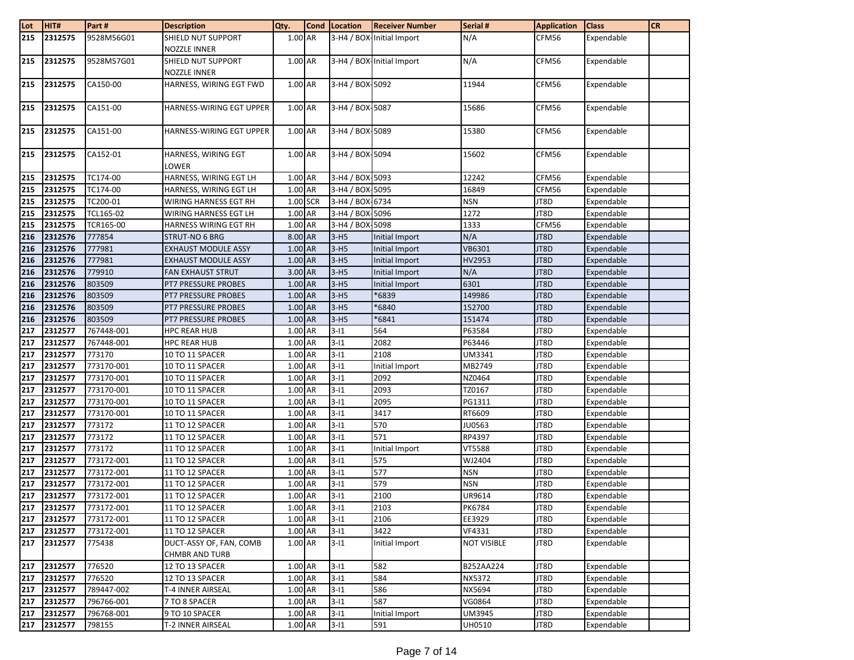| Lot | HIT#    | Part#      | <b>Description</b>                               | Qty.      | Cond Location   | <b>Receiver Number</b>    | Serial #           | <b>Application</b> | <b>Class</b> | <b>CR</b> |
|-----|---------|------------|--------------------------------------------------|-----------|-----------------|---------------------------|--------------------|--------------------|--------------|-----------|
| 215 | 2312575 | 9528M56G01 | <b>SHIELD NUT SUPPORT</b><br><b>NOZZLE INNER</b> | 1.00 AR   |                 | 3-H4 / BOX-Initial Import | N/A                | CFM56              | Expendable   |           |
| 215 | 2312575 | 9528M57G01 | SHIELD NUT SUPPORT<br><b>NOZZLE INNER</b>        | 1.00 AR   |                 | 3-H4 / BOX-Initial Import | N/A                | CFM56              | Expendable   |           |
| 215 | 2312575 | CA150-00   | HARNESS, WIRING EGT FWD                          | 1.00 AR   | 3-H4 / BOX 5092 |                           | 11944              | CFM56              | Expendable   |           |
| 215 | 2312575 | CA151-00   | HARNESS-WIRING EGT UPPER                         | 1.00 AR   | 3-H4 / BOX-5087 |                           | 15686              | CFM56              | Expendable   |           |
| 215 | 2312575 | CA151-00   | HARNESS-WIRING EGT UPPER                         | 1.00 AR   | 3-H4 / BOX-5089 |                           | 15380              | CFM56              | Expendable   |           |
| 215 | 2312575 | CA152-01   | HARNESS, WIRING EGT<br>LOWER                     | 1.00 AR   | 3-H4 / BOX-5094 |                           | 15602              | CFM56              | Expendable   |           |
| 215 | 2312575 | TC174-00   | HARNESS, WIRING EGT LH                           | 1.00 AR   | 3-H4 / BOX-5093 |                           | 12242              | CFM56              | Expendable   |           |
| 215 | 2312575 | TC174-00   | HARNESS, WIRING EGT LH                           | 1.00 AR   | 3-H4 / BOX-5095 |                           | 16849              | CFM56              | Expendable   |           |
| 215 | 2312575 | TC200-01   | WIRING HARNESS EGT RH                            | 1.00 SCR  | 3-H4 / BOX-6734 |                           | <b>NSN</b>         | JT8D               | Expendable   |           |
| 215 | 2312575 | TCL165-02  | WIRING HARNESS EGT LH                            | 1.00 AR   | 3-H4 / BOX-5096 |                           | 1272               | JT8D               | Expendable   |           |
| 215 | 2312575 | TCR165-00  | HARNESS WIRING EGT RH                            | 1.00 AR   | 3-H4 / BOX-5098 |                           | 1333               | CFM56              | Expendable   |           |
| 216 | 2312576 | 777854     | <b>STRUT-NO 6 BRG</b>                            | 8.00 AR   | $3-H5$          | Initial Import            | N/A                | JT8D               | Expendable   |           |
| 216 | 2312576 | 777981     | <b>EXHAUST MODULE ASSY</b>                       | 1.00 AR   | $3-H5$          | Initial Import            | VB6301             | JT8D               | Expendable   |           |
| 216 | 2312576 | 777981     | <b>EXHAUST MODULE ASSY</b>                       | 1.00 AR   | $3-H5$          | Initial Import            | HV2953             | JT8D               | Expendable   |           |
| 216 | 2312576 | 779910     | <b>FAN EXHAUST STRUT</b>                         | 3.00 AR   | $3-H5$          | Initial Import            | N/A                | JT8D               | Expendable   |           |
| 216 | 2312576 | 803509     | <b>PT7 PRESSURE PROBES</b>                       | 1.00 AR   | $3-H5$          | Initial Import            | 6301               | JT8D               | Expendable   |           |
| 216 | 2312576 | 803509     | <b>PT7 PRESSURE PROBES</b>                       | 1.00 AR   | $3-H5$          | *6839                     | 149986             | JT8D               | Expendable   |           |
| 216 | 2312576 | 803509     | <b>PT7 PRESSURE PROBES</b>                       | 1.00 AR   | $3-H5$          | *6840                     | 152700             | JT8D               | Expendable   |           |
| 216 | 2312576 | 803509     | <b>PT7 PRESSURE PROBES</b>                       | $1.00$ AR | $3-H5$          | *6841                     | 151474             | JT8D               | Expendable   |           |
| 217 | 2312577 | 767448-001 | <b>HPC REAR HUB</b>                              | 1.00 AR   | $3 - 11$        | 564                       | P63584             | JT8D               | Expendable   |           |
| 217 | 2312577 | 767448-001 | <b>HPC REAR HUB</b>                              | 1.00 AR   | $3 - 11$        | 2082                      | P63446             | JT8D               | Expendable   |           |
| 217 | 2312577 | 773170     | 10 TO 11 SPACER                                  | 1.00 AR   | $3 - 11$        | 2108                      | UM3341             | JT8D               | Expendable   |           |
| 217 | 2312577 | 773170-001 | 10 TO 11 SPACER                                  | 1.00 AR   | $3 - 11$        | Initial Import            | MB2749             | JT8D               | Expendable   |           |
| 217 | 2312577 | 773170-001 | 10 TO 11 SPACER                                  | 1.00 AR   | $3 - 11$        | 2092                      | NZ0464             | JT8D               | Expendable   |           |
| 217 | 2312577 | 773170-001 | 10 TO 11 SPACER                                  | 1.00 AR   | $3-11$          | 2093                      | TZ0167             | JT8D               | Expendable   |           |
| 217 | 2312577 | 773170-001 | 10 TO 11 SPACER                                  | 1.00 AR   | $3 - 11$        | 2095                      | PG1311             | JT8D               | Expendable   |           |
| 217 | 2312577 | 773170-001 | 10 TO 11 SPACER                                  | 1.00 AR   | $3 - 11$        | 3417                      | RT6609             | JT8D               | Expendable   |           |
| 217 | 2312577 | 773172     | 11 TO 12 SPACER                                  | 1.00 AR   | $3 - 11$        | 570                       | JU0563             | JT8D               | Expendable   |           |
| 217 | 2312577 | 773172     | 11 TO 12 SPACER                                  | 1.00 AR   | $3 - 11$        | 571                       | RP4397             | JT8D               | Expendable   |           |
| 217 | 2312577 | 773172     | 11 TO 12 SPACER                                  | 1.00 AR   | $3 - 11$        | Initial Import            | VT5588             | JT8D               | Expendable   |           |
| 217 | 2312577 | 773172-001 | 11 TO 12 SPACER                                  | 1.00 AR   | $3 - 11$        | 575                       | WJ2404             | JT8D               | Expendable   |           |
| 217 | 2312577 | 773172-001 | 11 TO 12 SPACER                                  | 1.00 AR   | $3 - 11$        | 577                       | <b>NSN</b>         | JT8D               | Expendable   |           |
| 217 | 2312577 | 773172-001 | 11 TO 12 SPACER                                  | 1.00 AR   | $3 - 11$        | 579                       | <b>NSN</b>         | JT8D               | Expendable   |           |
| 217 | 2312577 | 773172-001 | 11 TO 12 SPACER                                  | 1.00 AR   | $3 - 11$        | 2100                      | UR9614             | JT8D               | Expendable   |           |
| 217 | 2312577 | 773172-001 | 11 TO 12 SPACER                                  | 1.00 AR   | $3-11$          | 2103                      | <b>PK6784</b>      | JT8D               | Expendable   |           |
| 217 | 2312577 | 773172-001 | 11 TO 12 SPACER                                  | 1.00 AR   | $3 - 11$        | 2106                      | EE3929             | JT8D               | Expendable   |           |
| 217 | 2312577 | 773172-001 | 11 TO 12 SPACER                                  | 1.00 AR   | $3-11$          | 3422                      | VF4331             | JT8D               | Expendable   |           |
| 217 | 2312577 | 775438     | DUCT-ASSY OF, FAN, COMB<br><b>CHMBR AND TURB</b> | 1.00 AR   | $3 - 11$        | Initial Import            | <b>NOT VISIBLE</b> | JT8D               | Expendable   |           |
| 217 | 2312577 | 776520     | 12 TO 13 SPACER                                  | 1.00 AR   | $3 - 11$        | 582                       | B252AA224          | JT8D               | Expendable   |           |
| 217 | 2312577 | 776520     | 12 TO 13 SPACER                                  | 1.00 AR   | $3 - 11$        | 584                       | NX5372             | JT8D               | Expendable   |           |
| 217 | 2312577 | 789447-002 | T-4 INNER AIRSEAL                                | 1.00 AR   | $3 - 11$        | 586                       | NX5694             | JT8D               | Expendable   |           |
| 217 | 2312577 | 796766-001 | 7 TO 8 SPACER                                    | 1.00 AR   | $3 - 11$        | 587                       | VG0864             | JT8D               | Expendable   |           |
| 217 | 2312577 | 796768-001 | 9 TO 10 SPACER                                   | 1.00 AR   | $3 - 11$        | Initial Import            | <b>UM3945</b>      | JT8D               | Expendable   |           |
| 217 | 2312577 | 798155     | T-2 INNER AIRSEAL                                | 1.00 AR   | $3 - 11$        | 591                       | UH0510             | JT8D               | Expendable   |           |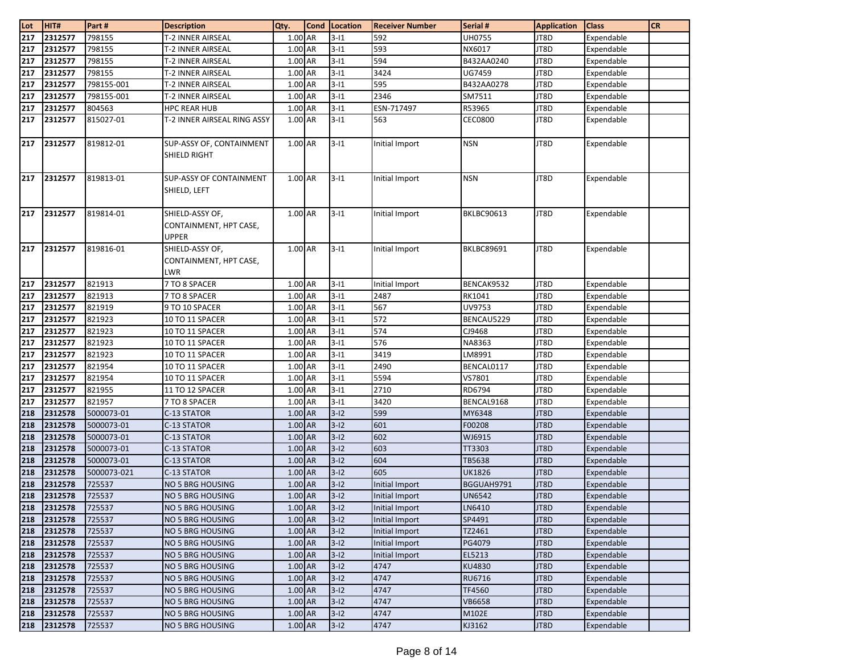| Lot | HIT#    | Part#       | <b>Description</b>                                        | Qty.      | <b>Cond</b> Location | <b>Receiver Number</b> | Serial #          | <b>Application</b> | <b>Class</b> | CR |
|-----|---------|-------------|-----------------------------------------------------------|-----------|----------------------|------------------------|-------------------|--------------------|--------------|----|
| 217 | 2312577 | 798155      | T-2 INNER AIRSEAL                                         | 1.00 AR   | $3 - 11$             | 592                    | UH0755            | JT8D               | Expendable   |    |
| 217 | 2312577 | 798155      | T-2 INNER AIRSEAL                                         | 1.00 AR   | $3 - 11$             | 593                    | NX6017            | JT8D               | Expendable   |    |
| 217 | 2312577 | 798155      | T-2 INNER AIRSEAL                                         | 1.00 AR   | $3 - 11$             | 594                    | B432AA0240        | JT8D               | Expendable   |    |
| 217 | 2312577 | 798155      | T-2 INNER AIRSEAL                                         | 1.00 AR   | $3 - 11$             | 3424                   | UG7459            | JT8D               | Expendable   |    |
| 217 | 2312577 | 798155-001  | T-2 INNER AIRSEAL                                         | 1.00 AR   | $3 - 11$             | 595                    | B432AA0278        | JT8D               | Expendable   |    |
| 217 | 2312577 | 798155-001  | <b>T-2 INNER AIRSEAL</b>                                  | 1.00 AR   | $3 - 11$             | 2346                   | SM7511            | JT8D               | Expendable   |    |
| 217 | 2312577 | 804563      | <b>HPC REAR HUB</b>                                       | 1.00 AR   | $3 - 11$             | ESN-717497             | R53965            | JT8D               | Expendable   |    |
| 217 | 2312577 | 815027-01   | T-2 INNER AIRSEAL RING ASSY                               | 1.00 AR   | $3 - 11$             | 563                    | <b>CEC0800</b>    | JT8D               | Expendable   |    |
| 217 | 2312577 | 819812-01   | SUP-ASSY OF, CONTAINMENT<br>SHIELD RIGHT                  | 1.00 AR   | $3 - 11$             | Initial Import         | <b>NSN</b>        | JT8D               | Expendable   |    |
| 217 | 2312577 | 819813-01   | <b>SUP-ASSY OF CONTAINMENT</b><br>SHIELD, LEFT            | 1.00 AR   | $3 - 11$             | Initial Import         | <b>NSN</b>        | JT8D               | Expendable   |    |
| 217 | 2312577 | 819814-01   | SHIELD-ASSY OF,<br>CONTAINMENT, HPT CASE,<br><b>UPPER</b> | 1.00 AR   | $3 - 11$             | Initial Import         | <b>BKLBC90613</b> | JT8D               | Expendable   |    |
| 217 | 2312577 | 819816-01   | SHIELD-ASSY OF,<br>CONTAINMENT, HPT CASE,<br>LWR          | 1.00 AR   | $3 - 11$             | Initial Import         | <b>BKLBC89691</b> | JT8D               | Expendable   |    |
| 217 | 2312577 | 821913      | 7 TO 8 SPACER                                             | 1.00 AR   | $3 - 11$             | Initial Import         | BENCAK9532        | JT8D               | Expendable   |    |
| 217 | 2312577 | 821913      | 7 TO 8 SPACER                                             | 1.00 AR   | $3 - 11$             | 2487                   | RK1041            | JT8D               | Expendable   |    |
| 217 | 2312577 | 821919      | 9 TO 10 SPACER                                            | 1.00 AR   | $3 - 11$             | 567                    | UV9753            | JT8D               | Expendable   |    |
| 217 | 2312577 | 821923      | 10 TO 11 SPACER                                           | 1.00 AR   | $3 - 11$             | 572                    | BENCAU5229        | JT8D               | Expendable   |    |
| 217 | 2312577 | 821923      | 10 TO 11 SPACER                                           | 1.00 AR   | $3 - 11$             | 574                    | CJ9468            | JT8D               | Expendable   |    |
| 217 | 2312577 | 821923      | 10 TO 11 SPACER                                           | 1.00 AR   | $3 - 11$             | 576                    | NA8363            | JT8D               | Expendable   |    |
| 217 | 2312577 | 821923      | 10 TO 11 SPACER                                           | 1.00 AR   | $3 - 11$             | 3419                   | LM8991            | JT8D               | Expendable   |    |
| 217 | 2312577 | 821954      | 10 TO 11 SPACER                                           | 1.00 AR   | $3 - 11$             | 2490                   | BENCAL0117        | JT8D               | Expendable   |    |
| 217 | 2312577 | 821954      | 10 TO 11 SPACER                                           | 1.00 AR   | $3 - 11$             | 5594                   | VS7801            | JT8D               | Expendable   |    |
| 217 | 2312577 | 821955      | 11 TO 12 SPACER                                           | 1.00 AR   | $3 - 11$             | 2710                   | RD6794            | JT8D               | Expendable   |    |
| 217 | 2312577 | 821957      | 7 TO 8 SPACER                                             | 1.00 AR   | $3 - 11$             | 3420                   | BENCAL9168        | JT8D               | Expendable   |    |
| 218 | 2312578 | 5000073-01  | C-13 STATOR                                               | 1.00 AR   | $3-12$               | 599                    | MY6348            | JT8D               | Expendable   |    |
| 218 | 2312578 | 5000073-01  | C-13 STATOR                                               | 1.00 AR   | $3 - 12$             | 601                    | F00208            | JT8D               | Expendable   |    |
| 218 | 2312578 | 5000073-01  | C-13 STATOR                                               | 1.00 AR   | $3-12$               | 602                    | WJ6915            | JT8D               | Expendable   |    |
| 218 | 2312578 | 5000073-01  | C-13 STATOR                                               | 1.00 AR   | $3-12$               | 603                    | TT3303            | JT8D               | Expendable   |    |
| 218 | 2312578 | 5000073-01  | C-13 STATOR                                               | 1.00 AR   | $3-12$               | 604                    | TB5638            | JT8D               | Expendable   |    |
| 218 | 2312578 | 5000073-021 | C-13 STATOR                                               | 1.00 AR   | $3-12$               | 605                    | <b>UK1826</b>     | JT8D               | Expendable   |    |
| 218 | 2312578 | 725537      | NO 5 BRG HOUSING                                          | 1.00 AR   | $3-12$               | Initial Import         | BGGUAH9791        | JT8D               | Expendable   |    |
| 218 | 2312578 | 725537      | NO 5 BRG HOUSING                                          | 1.00 AR   | $3-12$               | Initial Import         | <b>UN6542</b>     | JT8D               | Expendable   |    |
| 218 | 2312578 | 725537      | <b>NO 5 BRG HOUSING</b>                                   | 1.00 AR   | $3 - 12$             | Initial Import         | LN6410            | JT8D               | Expendable   |    |
| 218 | 2312578 | 725537      | NO 5 BRG HOUSING                                          | 1.00 AR   | $3 - 12$             | Initial Import         | SP4491            | JT8D               | Expendable   |    |
| 218 | 2312578 | 725537      | NO 5 BRG HOUSING                                          | 1.00 AR   | $3 - 12$             | Initial Import         | TZ2461            | JT8D               | Expendable   |    |
| 218 | 2312578 | 725537      | NO 5 BRG HOUSING                                          | 1.00 AR   | $3-12$               | Initial Import         | PG4079            | JT8D               | Expendable   |    |
| 218 | 2312578 | 725537      | <b>NO 5 BRG HOUSING</b>                                   | 1.00 AR   | $3 - 12$             | Initial Import         | EL5213            | JT8D               | Expendable   |    |
| 218 | 2312578 | 725537      | NO 5 BRG HOUSING                                          | 1.00 AR   | $3 - 12$             | 4747                   | KU4830            | JT8D               | Expendable   |    |
| 218 | 2312578 | 725537      | NO 5 BRG HOUSING                                          | 1.00 AR   | $3 - 12$             | 4747                   | RU6716            | JT8D               | Expendable   |    |
| 218 | 2312578 | 725537      | <b>NO 5 BRG HOUSING</b>                                   | 1.00 AR   | $3-12$               | 4747                   | TF4560            | JT8D               | Expendable   |    |
| 218 | 2312578 | 725537      | NO 5 BRG HOUSING                                          | $1.00$ AR | $3-12$               | 4747                   | <b>VB6658</b>     | JT8D               | Expendable   |    |
| 218 | 2312578 | 725537      | NO 5 BRG HOUSING                                          | 1.00 AR   | $3 - 12$             | 4747                   | M102E             | JT8D               | Expendable   |    |
| 218 | 2312578 | 725537      | NO 5 BRG HOUSING                                          | 1.00 AR   | $3-12$               | 4747                   | KJ3162            | JT8D               | Expendable   |    |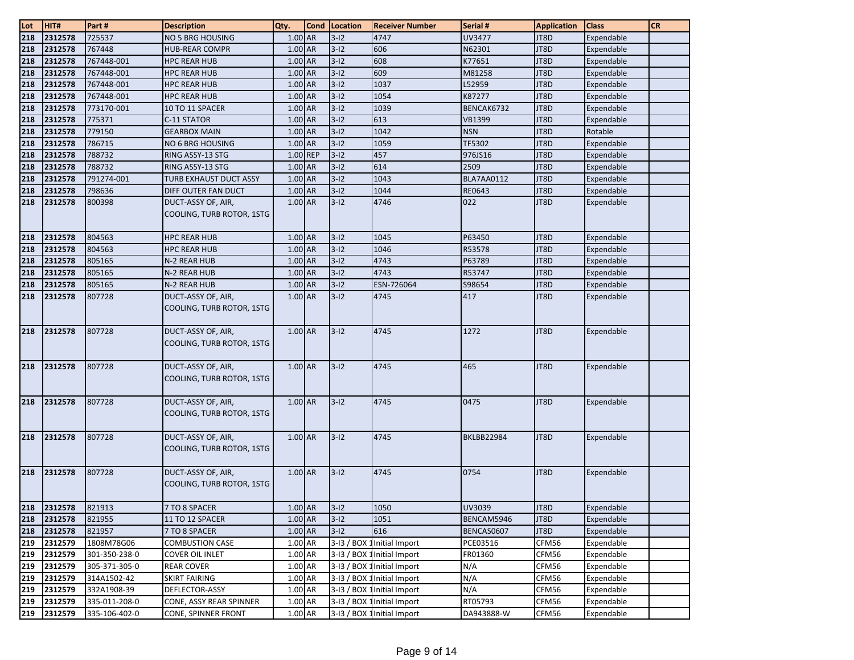| $\frac{\text{Lot}}{\text{218}}$ | HIT#    | Part #        | <b>Description</b>                              | Qty.      | <b>Cond</b> | Location   | <b>Receiver Number</b>      | Serial #          | <b>Application</b> | <b>Class</b> | <b>CR</b> |
|---------------------------------|---------|---------------|-------------------------------------------------|-----------|-------------|------------|-----------------------------|-------------------|--------------------|--------------|-----------|
|                                 | 2312578 | 725537        | NO 5 BRG HOUSING                                | 1.00 AR   |             | $3 - 12$   | 4747                        | UV3477            | JT8D               | Expendable   |           |
| 218                             | 2312578 | 767448        | <b>HUB-REAR COMPR</b>                           | 1.00 AR   |             | $3-12$     | 606                         | N62301            | JT8D               | Expendable   |           |
| 218                             | 2312578 | 767448-001    | <b>HPC REAR HUB</b>                             | 1.00 AR   |             | $3-12$     | 608                         | K77651            | JT8D               | Expendable   |           |
| 218                             | 2312578 | 767448-001    | HPC REAR HUB                                    | 1.00 AR   |             | $3-12$     | 609                         | M81258            | JT8D               | Expendable   |           |
| 218                             | 2312578 | 767448-001    | HPC REAR HUB                                    | 1.00 AR   |             | $3-12$     | 1037                        | L52959            | JT8D               | Expendable   |           |
| 218                             | 2312578 | 767448-001    | <b>HPC REAR HUB</b>                             | 1.00 AR   |             | $3-12$     | 1054                        | K87277            | JT8D               | Expendable   |           |
| 218                             | 2312578 | 773170-001    | 10 TO 11 SPACER                                 | 1.00 AR   |             | $3-12$     | 1039                        | BENCAK6732        | JT8D               | Expendable   |           |
| 218                             | 2312578 | 775371        | C-11 STATOR                                     | 1.00 AR   |             | $3-12$     | 613                         | VB1399            | JT8D               | Expendable   |           |
| 218                             | 2312578 | 779150        | <b>GEARBOX MAIN</b>                             | 1.00 AR   |             | $3-12$     | 1042                        | <b>NSN</b>        | JT8D               | Rotable      |           |
| 218                             | 2312578 | 786715        | NO 6 BRG HOUSING                                | 1.00 AR   |             | $3-12$     | 1059                        | TF5302            | JT8D               | Expendable   |           |
| 218                             | 2312578 | 788732        | RING ASSY-13 STG                                |           | 1.00 REP    | $3-12$     | 457                         | 976JS16           | JT8D               | Expendable   |           |
| 218                             | 2312578 | 788732        | RING ASSY-13 STG                                | 1.00 AR   |             | $3-12$     | 614                         | 2509              | JT8D               | Expendable   |           |
| 218                             | 2312578 | 791274-001    | TURB EXHAUST DUCT ASSY                          | 1.00 AR   |             | $3-12$     | 1043                        | BLA7AA0112        | JT8D               | Expendable   |           |
| 218                             | 2312578 | 798636        | DIFF OUTER FAN DUCT                             | 1.00 AR   |             | $3-12$     | 1044                        | RE0643            | JT8D               | Expendable   |           |
| 218                             | 2312578 | 800398        | DUCT-ASSY OF, AIR,<br>COOLING, TURB ROTOR, 1STG | 1.00 AR   |             | $3-12$     | 4746                        | 022               | JT8D               | Expendable   |           |
| 218                             | 2312578 | 804563        | <b>HPC REAR HUB</b>                             | 1.00 AR   |             | $3-12$     | 1045                        | P63450            | JT8D               | Expendable   |           |
| 218                             | 2312578 | 804563        | <b>HPC REAR HUB</b>                             | 1.00 AR   |             | $3-12$     | 1046                        | R53578            | JT8D               | Expendable   |           |
| 218                             | 2312578 | 805165        | N-2 REAR HUB                                    | 1.00 AR   |             | $3-12$     | 4743                        | P63789            | JT8D               | Expendable   |           |
| 218                             | 2312578 | 805165        | N-2 REAR HUB                                    | 1.00 AR   |             | $3-12$     | 4743                        | R53747            | JT8D               | Expendable   |           |
| 218                             | 2312578 | 805165        | N-2 REAR HUB                                    | 1.00 AR   |             | $3-12$     | ESN-726064                  | S98654            | JT8D               | Expendable   |           |
| 218                             | 2312578 | 807728        | DUCT-ASSY OF, AIR,<br>COOLING, TURB ROTOR, 1STG | 1.00 AR   |             | $3 - 12$   | 4745                        | 417               | JT8D               | Expendable   |           |
| 218                             | 2312578 | 807728        | DUCT-ASSY OF, AIR,<br>COOLING, TURB ROTOR, 1STG | 1.00 AR   |             | $3 - 12$   | 4745                        | 1272              | JT8D               | Expendable   |           |
| 218                             | 2312578 | 807728        | DUCT-ASSY OF, AIR,<br>COOLING, TURB ROTOR, 1STG | 1.00 AR   |             | $3 - 12$   | 4745                        | 465               | JT8D               | Expendable   |           |
| 218                             | 2312578 | 807728        | DUCT-ASSY OF, AIR,<br>COOLING, TURB ROTOR, 1STG | 1.00 AR   |             | $3 - 12$   | 4745                        | 0475              | JT8D               | Expendable   |           |
| 218                             | 2312578 | 807728        | DUCT-ASSY OF, AIR,<br>COOLING, TURB ROTOR, 1STG | $1.00$ AR |             | $3-12$     | 4745                        | <b>BKLBB22984</b> | JT8D               | Expendable   |           |
| 218                             | 2312578 | 807728        | DUCT-ASSY OF, AIR,<br>COOLING, TURB ROTOR, 1STG | 1.00 AR   |             | $3-12$     | 4745                        | 0754              | JT8D               | Expendable   |           |
| 218                             | 2312578 | 821913        | 7 TO 8 SPACER                                   | 1.00 AR   |             | $3-12$     | 1050                        | UV3039            | JT8D               | Expendable   |           |
| 218                             | 2312578 | 821955        | 11 TO 12 SPACER                                 | 1.00 AR   |             | $3-12$     | 1051                        | BENCAM5946        | JT8D               | Expendable   |           |
| 218                             | 2312578 | 821957        | 7 TO 8 SPACER                                   | 1.00 AR   |             | $3-12$     | 616                         | BENCAS0607        | JT8D               | Expendable   |           |
| 219                             | 2312579 | 1808M78G06    | <b>COMBUSTION CASE</b>                          | 1.00 AR   |             |            | 3-13 / BOX 1 Initial Import | PCE03516          | CFM56              | Expendable   |           |
| 219                             | 2312579 | 301-350-238-0 | <b>COVER OIL INLET</b>                          | 1.00 AR   |             |            | 3-13 / BOX 1 Initial Import | FR01360           | CFM56              | Expendable   |           |
| 219                             | 2312579 | 305-371-305-0 | <b>REAR COVER</b>                               | 1.00 AR   |             |            | 3-13 / BOX 1 Initial Import | N/A               | CFM56              | Expendable   |           |
| 219                             | 2312579 | 314A1502-42   | <b>SKIRT FAIRING</b>                            | 1.00 AR   |             |            | 3-13 / BOX 1 Initial Import | N/A               | CFM56              | Expendable   |           |
| 219                             | 2312579 | 332A1908-39   | DEFLECTOR-ASSY                                  | 1.00 AR   |             | 3-13 / BOX | 1Initial Import             | N/A               | CFM56              | Expendable   |           |
| 219                             | 2312579 | 335-011-208-0 | CONE, ASSY REAR SPINNER                         | 1.00 AR   |             |            | 3-13 / BOX 1 Initial Import | RT05793           | CFM56              | Expendable   |           |
| 219                             | 2312579 | 335-106-402-0 | CONE, SPINNER FRONT                             | 1.00 AR   |             |            | 3-13 / BOX 1 Initial Import | DA943888-W        | CFM56              | Expendable   |           |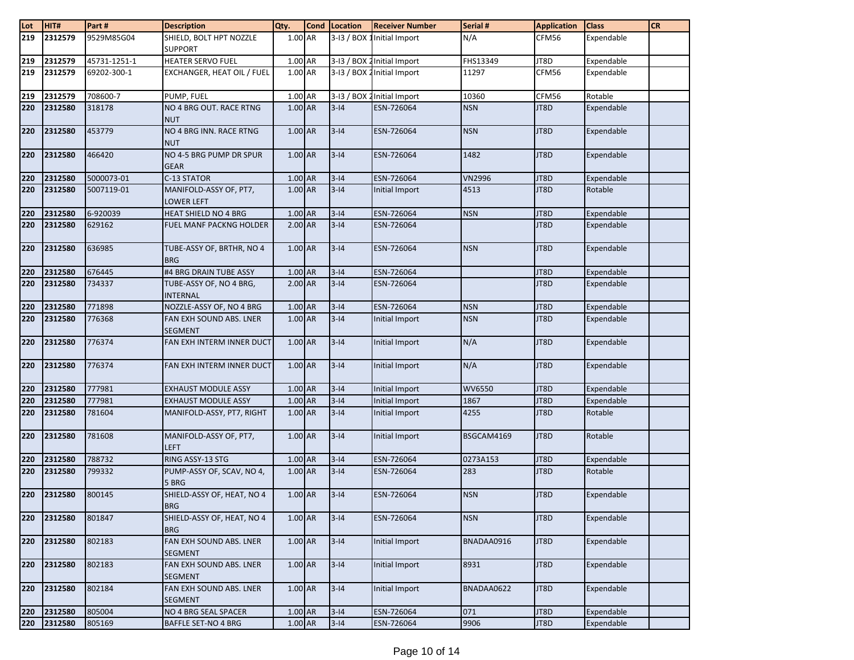| $\frac{\text{Lot}}{\text{219}}$ | HIT#    | Part#        | <b>Description</b>                         | Qty.      | <b>Cond</b> | Location | <b>Receiver Number</b>      | Serial #      | <b>Application</b> | <b>Class</b> | <b>CR</b> |
|---------------------------------|---------|--------------|--------------------------------------------|-----------|-------------|----------|-----------------------------|---------------|--------------------|--------------|-----------|
|                                 | 2312579 | 9529M85G04   | SHIELD, BOLT HPT NOZZLE<br><b>SUPPORT</b>  | 1.00 AR   |             |          | 3-13 / BOX 1 Initial Import | N/A           | CFM56              | Expendable   |           |
| 219                             | 2312579 | 45731-1251-1 | <b>HEATER SERVO FUEL</b>                   | 1.00 AR   |             |          | 3-13 / BOX 2 Initial Import | FHS13349      | JT8D               | Expendable   |           |
| 219                             | 2312579 | 69202-300-1  | EXCHANGER, HEAT OIL / FUEL                 | 1.00 AR   |             |          | 3-13 / BOX 2 Initial Import | 11297         | CFM56              | Expendable   |           |
| 219                             | 2312579 | 708600-7     | PUMP, FUEL                                 | 1.00 AR   |             |          | 3-13 / BOX 2 Initial Import | 10360         | CFM56              | Rotable      |           |
| 220                             | 2312580 | 318178       | NO 4 BRG OUT. RACE RTNG<br><b>NUT</b>      | 1.00 AR   |             | $3 - 14$ | ESN-726064                  | <b>NSN</b>    | JT8D               | Expendable   |           |
| 220                             | 2312580 | 453779       | NO 4 BRG INN. RACE RTNG<br><b>NUT</b>      | 1.00 AR   |             | $3 - 14$ | ESN-726064                  | <b>NSN</b>    | JT8D               | Expendable   |           |
| 220                             | 2312580 | 466420       | NO 4-5 BRG PUMP DR SPUR<br><b>GEAR</b>     | $1.00$ AR |             | $3 - 14$ | ESN-726064                  | 1482          | JT8D               | Expendable   |           |
| 220                             | 2312580 | 5000073-01   | C-13 STATOR                                | 1.00 AR   |             | $3 - 14$ | ESN-726064                  | <b>VN2996</b> | JT8D               | Expendable   |           |
| 220                             | 2312580 | 5007119-01   | MANIFOLD-ASSY OF, PT7,<br>LOWER LEFT       | 1.00 AR   |             | $3 - 14$ | Initial Import              | 4513          | JT8D               | Rotable      |           |
| 220                             | 2312580 | 6-920039     | HEAT SHIELD NO 4 BRG                       | 1.00 AR   |             | $3 - 14$ | ESN-726064                  | <b>NSN</b>    | JT8D               | Expendable   |           |
| 220                             | 2312580 | 629162       | <b>FUEL MANF PACKNG HOLDER</b>             | 2.00 AR   |             | $3 - 14$ | ESN-726064                  |               | JT8D               | Expendable   |           |
| 220                             | 2312580 | 636985       | TUBE-ASSY OF, BRTHR, NO 4<br><b>BRG</b>    | $1.00$ AR |             | $3 - 14$ | ESN-726064                  | <b>NSN</b>    | JT8D               | Expendable   |           |
| 220                             | 2312580 | 676445       | #4 BRG DRAIN TUBE ASSY                     | 1.00 AR   |             | $3 - 14$ | ESN-726064                  |               | JT8D               | Expendable   |           |
| 220                             | 2312580 | 734337       | TUBE-ASSY OF, NO 4 BRG,<br><b>INTERNAL</b> | $2.00$ AR |             | $3 - 14$ | ESN-726064                  |               | JT8D               | Expendable   |           |
| 220                             | 2312580 | 771898       | NOZZLE-ASSY OF, NO 4 BRG                   | 1.00 AR   |             | $3 - 14$ | ESN-726064                  | <b>NSN</b>    | JT8D               | Expendable   |           |
| 220                             | 2312580 | 776368       | FAN EXH SOUND ABS. LNER<br><b>SEGMENT</b>  | 1.00 AR   |             | $3 - 14$ | Initial Import              | <b>NSN</b>    | JT8D               | Expendable   |           |
| 220                             | 2312580 | 776374       | FAN EXH INTERM INNER DUCT                  | $1.00$ AR |             | $3 - 14$ | Initial Import              | N/A           | JT8D               | Expendable   |           |
| 220                             | 2312580 | 776374       | FAN EXH INTERM INNER DUCT                  | 1.00 AR   |             | $3 - 14$ | Initial Import              | N/A           | JT8D               | Expendable   |           |
| 220                             | 2312580 | 777981       | EXHAUST MODULE ASSY                        | 1.00 AR   |             | $3 - 14$ | Initial Import              | WV6550        | JT8D               | Expendable   |           |
| 220                             | 2312580 | 777981       | <b>EXHAUST MODULE ASSY</b>                 | 1.00 AR   |             | $3 - 14$ | Initial Import              | 1867          | JT8D               | Expendable   |           |
| 220                             | 2312580 | 781604       | MANIFOLD-ASSY, PT7, RIGHT                  | 1.00 AR   |             | $3 - 14$ | Initial Import              | 4255          | JT8D               | Rotable      |           |
| 220                             | 2312580 | 781608       | MANIFOLD-ASSY OF, PT7,<br><b>LEFT</b>      | 1.00 AR   |             | $3 - 14$ | Initial Import              | BSGCAM4169    | JT8D               | Rotable      |           |
| 220                             | 2312580 | 788732       | RING ASSY-13 STG                           | 1.00 AR   |             | $3 - 14$ | ESN-726064                  | 0273A153      | JT8D               | Expendable   |           |
| 220                             | 2312580 | 799332       | PUMP-ASSY OF, SCAV, NO 4,<br>5 BRG         | $1.00$ AR |             | $3 - 14$ | ESN-726064                  | 283           | JT8D               | Rotable      |           |
| 220                             | 2312580 | 800145       | SHIELD-ASSY OF, HEAT, NO 4<br><b>BRG</b>   | $1.00$ AR |             | $3 - 14$ | ESN-726064                  | <b>NSN</b>    | JT8D               | Expendable   |           |
| 220                             | 2312580 | 801847       | SHIELD-ASSY OF, HEAT, NO 4<br><b>BRG</b>   | 1.00 AR   |             | $3 - 14$ | ESN-726064                  | <b>NSN</b>    | JT8D               | Expendable   |           |
| 220                             | 2312580 | 802183       | FAN EXH SOUND ABS. LNER<br><b>SEGMENT</b>  | 1.00 AR   |             | $3 - 14$ | Initial Import              | BNADAA0916    | JT8D               | Expendable   |           |
| 220                             | 2312580 | 802183       | FAN EXH SOUND ABS. LNER<br><b>SEGMENT</b>  | 1.00 AR   |             | $3-14$   | Initial Import              | 8931          | JT8D               | Expendable   |           |
| 220                             | 2312580 | 802184       | FAN EXH SOUND ABS. LNER<br><b>SEGMENT</b>  | 1.00 AR   |             | $3 - 14$ | Initial Import              | BNADAA0622    | JT8D               | Expendable   |           |
| 220                             | 2312580 | 805004       | NO 4 BRG SEAL SPACER                       | $1.00$ AR |             | $3 - 14$ | ESN-726064                  | 071           | JT8D               | Expendable   |           |
| 220                             | 2312580 | 805169       | BAFFLE SET-NO 4 BRG                        | $1.00$ AR |             | $3-14$   | ESN-726064                  | 9906          | JT8D               | Expendable   |           |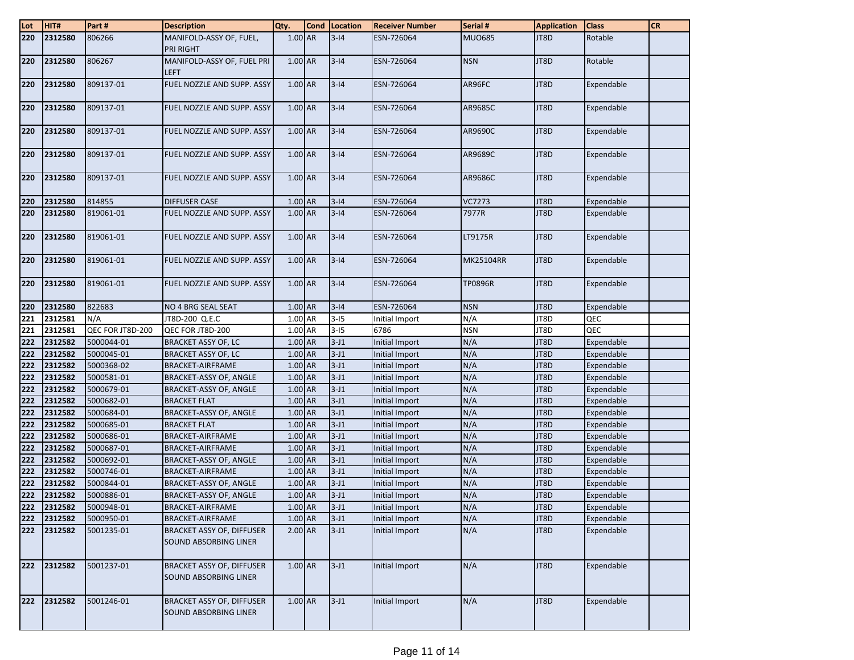| Lot        | HIT#               | Part#                    | <b>Description</b>                                        | Qty.                 | <b>Cond Location</b> | <b>Receiver Number</b>           | Serial #         | <b>Application</b> | <b>Class</b>             | <b>CR</b> |
|------------|--------------------|--------------------------|-----------------------------------------------------------|----------------------|----------------------|----------------------------------|------------------|--------------------|--------------------------|-----------|
| 220        | 2312580            | 806266                   | MANIFOLD-ASSY OF, FUEL,<br>PRI RIGHT                      | 1.00 AR              | $3 - 14$             | ESN-726064                       | <b>MUO685</b>    | JT8D               | Rotable                  |           |
| 220        | 2312580            | 806267                   | MANIFOLD-ASSY OF, FUEL PRI<br><b>LEFT</b>                 | 1.00 AR              | $3 - 14$             | ESN-726064                       | <b>NSN</b>       | JT8D               | Rotable                  |           |
| 220        | 2312580            | 809137-01                | FUEL NOZZLE AND SUPP. ASSY                                | 1.00 AR              | $3 - 14$             | ESN-726064                       | AR96FC           | JT8D               | Expendable               |           |
| 220        | 2312580            | 809137-01                | FUEL NOZZLE AND SUPP. ASSY                                | 1.00 AR              | $3 - 14$             | ESN-726064                       | AR9685C          | JT8D               | Expendable               |           |
| 220        | 2312580            | 809137-01                | FUEL NOZZLE AND SUPP. ASSY                                | 1.00 AR              | $3 - 14$             | ESN-726064                       | AR9690C          | JT8D               | Expendable               |           |
| 220        | 2312580            | 809137-01                | FUEL NOZZLE AND SUPP. ASSY                                | 1.00 AR              | $3 - 14$             | ESN-726064                       | AR9689C          | JT8D               | Expendable               |           |
| 220        | 2312580            | 809137-01                | FUEL NOZZLE AND SUPP. ASSY                                | 1.00 AR              | $3 - 14$             | ESN-726064                       | AR9686C          | JT8D               | Expendable               |           |
| 220        | 2312580            | 814855                   | <b>DIFFUSER CASE</b>                                      | 1.00 AR              | $3 - 14$             | ESN-726064                       | <b>VC7273</b>    | JT8D               | Expendable               |           |
| 220        | 2312580            | 819061-01                | FUEL NOZZLE AND SUPP. ASSY                                | $1.00$ AR            | $3 - 14$             | ESN-726064                       | 7977R            | JT8D               | Expendable               |           |
| 220        | 2312580            | 819061-01                | FUEL NOZZLE AND SUPP. ASSY                                | 1.00 AR              | $3 - 14$             | ESN-726064                       | LT9175R          | JT8D               | Expendable               |           |
| 220        | 2312580            | 819061-01                | FUEL NOZZLE AND SUPP. ASSY                                | 1.00 AR              | $3 - 14$             | ESN-726064                       | <b>MK25104RR</b> | JT8D               | Expendable               |           |
| 220        | 2312580            | 819061-01                | FUEL NOZZLE AND SUPP. ASSY                                | 1.00 AR              | $3 - 14$             | ESN-726064                       | <b>TP0896R</b>   | JT8D               | Expendable               |           |
| 220        | 2312580            | 822683                   | NO 4 BRG SEAL SEAT                                        | 1.00 AR              | $3 - 14$             | ESN-726064                       | <b>NSN</b>       | JT8D               | Expendable               |           |
| 221        | 2312581            | N/A                      | JT8D-200 Q.E.C                                            | 1.00 AR              | $3-15$               | Initial Import                   | N/A              | JT8D               | QEC                      |           |
| 221        | 2312581            | QEC FOR JT8D-200         | QEC FOR JT8D-200                                          | 1.00 AR              | $3-15$               | 6786                             | <b>NSN</b>       | JT8D               | QEC                      |           |
| 222        | 2312582            | 5000044-01               | <b>BRACKET ASSY OF, LC</b>                                | 1.00 AR              | $3-J1$               | Initial Import                   | N/A              | JT8D               | Expendable               |           |
| 222        | 2312582            | 5000045-01               | <b>BRACKET ASSY OF, LC</b>                                | 1.00 AR              | $3-J1$               | Initial Import                   | N/A              | JT8D               | Expendable               |           |
| 222        | 2312582            | 5000368-02               | <b>BRACKET-AIRFRAME</b>                                   | 1.00 AR              | $3-J1$               | Initial Import                   | N/A              | JT8D               | Expendable               |           |
| 222        | 2312582            | 5000581-01               | BRACKET-ASSY OF, ANGLE                                    | 1.00 AR              | $3-J1$               | Initial Import                   | N/A              | JT8D               | Expendable               |           |
| 222        | 2312582            | 5000679-01               | <b>BRACKET-ASSY OF, ANGLE</b>                             | $1.00$ AR            | $3-J1$               | Initial Import                   | N/A              | JT8D               | Expendable               |           |
| 222        | 2312582            | 5000682-01               | <b>BRACKET FLAT</b>                                       | 1.00 AR              | $3-J1$               | Initial Import                   | N/A              | JT8D               | Expendable               |           |
| 222        | 2312582            | 5000684-01               | BRACKET-ASSY OF, ANGLE                                    | 1.00 AR              | $3-J1$               | Initial Import                   | N/A              | JT8D               | Expendable               |           |
| 222        | 2312582            | 5000685-01               | <b>BRACKET FLAT</b>                                       | 1.00 AR              | $3-J1$               | Initial Import                   | N/A              | JT8D               | Expendable               |           |
| 222<br>222 | 2312582<br>2312582 | 5000686-01<br>5000687-01 | <b>BRACKET-AIRFRAME</b><br><b>BRACKET-AIRFRAME</b>        | 1.00 AR<br>$1.00$ AR | $3-J1$<br>$3-J1$     | Initial Import<br>Initial Import | N/A<br>N/A       | JT8D<br>JT8D       | Expendable<br>Expendable |           |
| 222        | 2312582            | 5000692-01               | <b>BRACKET-ASSY OF, ANGLE</b>                             | 1.00 AR              | $3-J1$               | Initial Import                   | N/A              | JT8D               | Expendable               |           |
| 222        | 2312582            | 5000746-01               | <b>BRACKET-AIRFRAME</b>                                   | 1.00 AR              | $3-J1$               | Initial Import                   | N/A              | JT8D               | Expendable               |           |
| 222        | 2312582            | 5000844-01               | BRACKET-ASSY OF, ANGLE                                    | 1.00 AR              | $3-J1$               | Initial Import                   | N/A              | JT8D               | Expendable               |           |
| 222        | 2312582            | 5000886-01               | <b>BRACKET-ASSY OF, ANGLE</b>                             | 1.00 AR              | $3-J1$               | Initial Import                   | N/A              | JT8D               | Expendable               |           |
| 222        | 2312582            | 5000948-01               | <b>BRACKET-AIRFRAME</b>                                   | 1.00 AR              | $3-J1$               | Initial Import                   | N/A              | JT8D               | Expendable               |           |
| 222        | 2312582            | 5000950-01               | <b>BRACKET-AIRFRAME</b>                                   | 1.00 AR              | $3-J1$               | Initial Import                   | N/A              | JT8D               | Expendable               |           |
| 222        | 2312582            | 5001235-01               | <b>BRACKET ASSY OF, DIFFUSER</b><br>SOUND ABSORBING LINER | 2.00 AR              | $3-J1$               | Initial Import                   | N/A              | JT8D               | Expendable               |           |
| 222        | 2312582            | 5001237-01               | <b>BRACKET ASSY OF, DIFFUSER</b><br>SOUND ABSORBING LINER | $1.00$ AR            | $3-J1$               | Initial Import                   | N/A              | JT8D               | Expendable               |           |
| 222        | 2312582            | 5001246-01               | BRACKET ASSY OF, DIFFUSER<br>SOUND ABSORBING LINER        | 1.00 AR              | $3-J1$               | Initial Import                   | N/A              | JT8D               | Expendable               |           |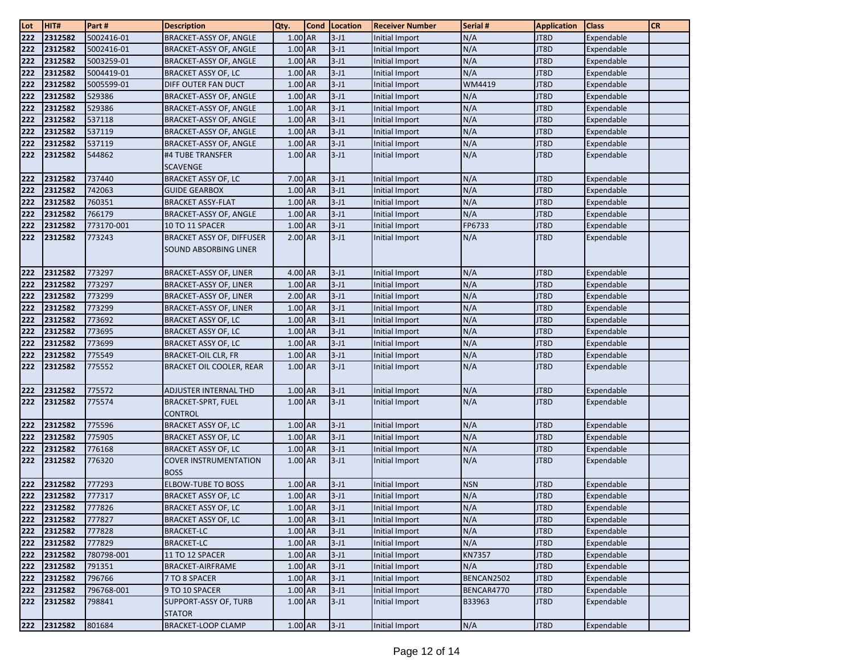| Lot | HIT#    | Part#      | <b>Description</b>                                               | Qty.      | <b>Cond</b> | Location | <b>Receiver Number</b> | Serial #   | <b>Application</b> | <b>Class</b> | <b>CR</b> |
|-----|---------|------------|------------------------------------------------------------------|-----------|-------------|----------|------------------------|------------|--------------------|--------------|-----------|
| 222 | 2312582 | 5002416-01 | <b>BRACKET-ASSY OF, ANGLE</b>                                    | $1.00$ AR |             | $3-J1$   | Initial Import         | N/A        | JT8D               | Expendable   |           |
| 222 | 2312582 | 5002416-01 | BRACKET-ASSY OF, ANGLE                                           | 1.00 AR   |             | $3-J1$   | Initial Import         | N/A        | JT8D               | Expendable   |           |
| 222 | 2312582 | 5003259-01 | BRACKET-ASSY OF, ANGLE                                           | 1.00 AR   |             | $3-J1$   | Initial Import         | N/A        | JT8D               | Expendable   |           |
| 222 | 2312582 | 5004419-01 | <b>BRACKET ASSY OF, LC</b>                                       | 1.00 AR   |             | $3-J1$   | Initial Import         | N/A        | JT8D               | Expendable   |           |
| 222 | 2312582 | 5005599-01 | DIFF OUTER FAN DUCT                                              | 1.00 AR   |             | $3-J1$   | Initial Import         | WM4419     | JT8D               | Expendable   |           |
| 222 | 2312582 | 529386     | <b>BRACKET-ASSY OF, ANGLE</b>                                    | 1.00 AR   |             | $3-J1$   | Initial Import         | N/A        | JT8D               | Expendable   |           |
| 222 | 2312582 | 529386     | BRACKET-ASSY OF, ANGLE                                           | 1.00 AR   |             | $3-J1$   | Initial Import         | N/A        | JT8D               | Expendable   |           |
| 222 | 2312582 | 537118     | BRACKET-ASSY OF, ANGLE                                           | 1.00 AR   |             | $3-J1$   | Initial Import         | N/A        | JT8D               | Expendable   |           |
| 222 | 2312582 | 537119     | BRACKET-ASSY OF, ANGLE                                           | 1.00 AR   |             | $3-J1$   | <b>Initial Import</b>  | N/A        | JT8D               | Expendable   |           |
| 222 | 2312582 | 537119     | BRACKET-ASSY OF, ANGLE                                           | $1.00$ AR |             | $3-J1$   | Initial Import         | N/A        | JT8D               | Expendable   |           |
| 222 | 2312582 | 544862     | #4 TUBE TRANSFER                                                 | 1.00 AR   |             | $3-J1$   | Initial Import         | N/A        | JT8D               | Expendable   |           |
|     |         |            | <b>SCAVENGE</b>                                                  |           |             |          |                        |            |                    |              |           |
| 222 | 2312582 | 737440     | <b>BRACKET ASSY OF, LC</b>                                       | 7.00 AR   |             | $3-J1$   | Initial Import         | N/A        | JT8D               | Expendable   |           |
| 222 | 2312582 | 742063     | <b>GUIDE GEARBOX</b>                                             | $1.00$ AR |             | $3-J1$   | Initial Import         | N/A        | JT8D               | Expendable   |           |
| 222 | 2312582 | 760351     | <b>BRACKET ASSY-FLAT</b>                                         | 1.00 AR   |             | $3-J1$   | Initial Import         | N/A        | JT8D               | Expendable   |           |
| 222 | 2312582 | 766179     | BRACKET-ASSY OF, ANGLE                                           | 1.00 AR   |             | $3-J1$   | Initial Import         | N/A        | JT8D               | Expendable   |           |
| 222 | 2312582 | 773170-001 | 10 TO 11 SPACER                                                  | 1.00 AR   |             | $3-J1$   | Initial Import         | FP6733     | JT8D               | Expendable   |           |
| 222 | 2312582 | 773243     | <b>BRACKET ASSY OF, DIFFUSER</b><br><b>SOUND ABSORBING LINER</b> | 2.00 AR   |             | $3-J1$   | Initial Import         | N/A        | JT8D               | Expendable   |           |
|     |         |            |                                                                  |           |             |          |                        |            |                    |              |           |
| 222 | 2312582 | 773297     | <b>BRACKET-ASSY OF, LINER</b>                                    | $4.00$ AR |             | $3-J1$   | Initial Import         | N/A        | JT8D               | Expendable   |           |
| 222 | 2312582 | 773297     | <b>BRACKET-ASSY OF, LINER</b>                                    | 1.00 AR   |             | $3-J1$   | Initial Import         | N/A        | JT8D               | Expendable   |           |
| 222 | 2312582 | 773299     | <b>BRACKET-ASSY OF, LINER</b>                                    | 2.00 AR   |             | $3-J1$   | <b>Initial Import</b>  | N/A        | JT8D               | Expendable   |           |
| 222 | 2312582 | 773299     | <b>BRACKET-ASSY OF, LINER</b>                                    | 1.00 AR   |             | $3-J1$   | <b>Initial Import</b>  | N/A        | JT8D               | Expendable   |           |
| 222 | 2312582 | 773692     | <b>BRACKET ASSY OF, LC</b>                                       | 1.00 AR   |             | $3-J1$   | Initial Import         | N/A        | JT8D               | Expendable   |           |
| 222 | 2312582 | 773695     | <b>BRACKET ASSY OF, LC</b>                                       | 1.00 AR   |             | $3-J1$   | Initial Import         | N/A        | JT8D               | Expendable   |           |
| 222 | 2312582 | 773699     | <b>BRACKET ASSY OF, LC</b>                                       | 1.00 AR   |             | $3-J1$   | Initial Import         | N/A        | JT8D               | Expendable   |           |
| 222 | 2312582 | 775549     | <b>BRACKET-OIL CLR, FR</b>                                       | 1.00 AR   |             | $3-J1$   | Initial Import         | N/A        | JT8D               | Expendable   |           |
| 222 | 2312582 | 775552     | <b>BRACKET OIL COOLER, REAR</b>                                  | 1.00 AR   |             | $3-J1$   | Initial Import         | N/A        | JT8D               | Expendable   |           |
|     |         |            |                                                                  |           |             |          |                        |            |                    |              |           |
| 222 | 2312582 | 775572     | ADJUSTER INTERNAL THD                                            | 1.00 AR   |             | $3-J1$   | Initial Import         | N/A        | JT8D               | Expendable   |           |
| 222 | 2312582 | 775574     | <b>BRACKET-SPRT, FUEL</b>                                        | $1.00$ AR |             | $3 - J1$ | Initial Import         | N/A        | JT8D               | Expendable   |           |
|     |         |            | CONTROL                                                          |           |             |          |                        |            |                    |              |           |
| 222 | 2312582 | 775596     | <b>BRACKET ASSY OF, LC</b>                                       | 1.00 AR   |             | $3-J1$   | Initial Import         | N/A        | JT8D               | Expendable   |           |
| 222 | 2312582 | 775905     | <b>BRACKET ASSY OF, LC</b>                                       | 1.00 AR   |             | $3-J1$   | <b>Initial Import</b>  | N/A        | JT8D               | Expendable   |           |
| 222 | 2312582 | 776168     | <b>BRACKET ASSY OF, LC</b>                                       | 1.00 AR   |             | $3-J1$   | Initial Import         | N/A        | JT8D               | Expendable   |           |
| 222 | 2312582 | 776320     | <b>COVER INSTRUMENTATION</b><br><b>BOSS</b>                      | 1.00 AR   |             | $3-J1$   | Initial Import         | N/A        | JT8D               | Expendable   |           |
| 222 | 2312582 | 777293     | <b>ELBOW-TUBE TO BOSS</b>                                        | 1.00 AR   |             | $3-J1$   | Initial Import         | <b>NSN</b> | JT8D               | Expendable   |           |
| 222 | 2312582 | 777317     | <b>BRACKET ASSY OF. LC</b>                                       | 1.00 AR   |             | $3 - J1$ | Initial Import         | N/A        | JT8D               | Expendable   |           |
| 222 | 2312582 | 777826     | <b>BRACKET ASSY OF, LC</b>                                       | $1.00$ AR |             | $3-J1$   | Initial Import         | N/A        | JT8D               | Expendable   |           |
| 222 | 2312582 | 777827     | <b>BRACKET ASSY OF, LC</b>                                       | 1.00 AR   |             | $3-J1$   | Initial Import         | N/A        | JT8D               | Expendable   |           |
| 222 | 2312582 | 777828     | <b>BRACKET-LC</b>                                                | 1.00 AR   |             | $3-J1$   | Initial Import         | N/A        | JT8D               | Expendable   |           |
| 222 | 2312582 | 777829     | <b>BRACKET-LC</b>                                                | 1.00 AR   |             | $3-J1$   | Initial Import         | N/A        | JT8D               | Expendable   |           |
| 222 | 2312582 | 780798-001 | 11 TO 12 SPACER                                                  | 1.00 AR   |             | $3-J1$   | Initial Import         | KN7357     | JT8D               | Expendable   |           |
| 222 | 2312582 | 791351     | BRACKET-AIRFRAME                                                 | $1.00$ AR |             | $3-J1$   | Initial Import         | N/A        | JT8D               | Expendable   |           |
| 222 | 2312582 | 796766     | 7 TO 8 SPACER                                                    | 1.00 AR   |             | $3-J1$   | Initial Import         | BENCAN2502 | JT8D               | Expendable   |           |
| 222 | 2312582 | 796768-001 | 9 TO 10 SPACER                                                   | $1.00$ AR |             | $3-J1$   | Initial Import         | BENCAR4770 | JT8D               | Expendable   |           |
| 222 | 2312582 | 798841     | SUPPORT-ASSY OF, TURB<br><b>STATOR</b>                           | 1.00 AR   |             | $3-J1$   | Initial Import         | B33963     | JT8D               | Expendable   |           |
| 222 | 2312582 | 801684     | <b>BRACKET-LOOP CLAMP</b>                                        | $1.00$ AR |             | $3-J1$   | Initial Import         | N/A        | JT8D               | Expendable   |           |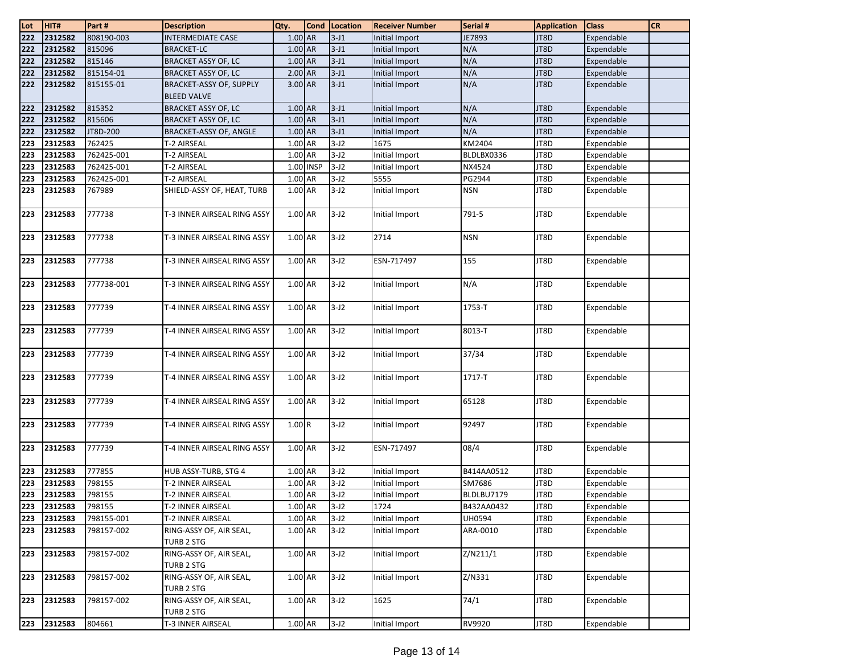| Lot | HIT#        | Part#      | <b>Description</b>                                   | Qty.      | <b>Cond</b> | Location | <b>Receiver Number</b> | Serial #   | <b>Application</b> | <b>Class</b> | <b>CR</b> |
|-----|-------------|------------|------------------------------------------------------|-----------|-------------|----------|------------------------|------------|--------------------|--------------|-----------|
| 222 | 2312582     | 808190-003 | <b>INTERMEDIATE CASE</b>                             | 1.00 AR   |             | $3-J1$   | Initial Import         | JE7893     | JT8D               | Expendable   |           |
| 222 | 2312582     | 815096     | <b>BRACKET-LC</b>                                    | 1.00 AR   |             | $3-J1$   | Initial Import         | N/A        | JT8D               | Expendable   |           |
| 222 | 2312582     | 815146     | <b>BRACKET ASSY OF, LC</b>                           | 1.00 AR   |             | $3-J1$   | Initial Import         | N/A        | JT8D               | Expendable   |           |
| 222 | 2312582     | 815154-01  | <b>BRACKET ASSY OF, LC</b>                           | 2.00 AR   |             | $3-J1$   | Initial Import         | N/A        | JT8D               | Expendable   |           |
| 222 | 2312582     | 815155-01  | <b>BRACKET-ASSY OF, SUPPLY</b><br><b>BLEED VALVE</b> | 3.00 AR   |             | $3-J1$   | Initial Import         | N/A        | JT8D               | Expendable   |           |
| 222 | 2312582     | 815352     | <b>BRACKET ASSY OF, LC</b>                           | 1.00 AR   |             | $3-J1$   | Initial Import         | N/A        | JT8D               | Expendable   |           |
| 222 | 2312582     | 815606     | <b>BRACKET ASSY OF, LC</b>                           | $1.00$ AR |             | $3-J1$   | Initial Import         | N/A        | JT8D               | Expendable   |           |
| 222 | 2312582     | JT8D-200   | BRACKET-ASSY OF, ANGLE                               | 1.00 AR   |             | $3-J1$   | Initial Import         | N/A        | JT8D               | Expendable   |           |
| 223 | 2312583     | 762425     | T-2 AIRSEAL                                          | 1.00 AR   |             | $3-J2$   | 1675                   | KM2404     | JT8D               | Expendable   |           |
| 223 | 2312583     | 762425-001 | T-2 AIRSEAL                                          | 1.00 AR   |             | $3-J2$   | Initial Import         | BLDLBX0336 | JT8D               | Expendable   |           |
| 223 | 2312583     | 762425-001 | <b>T-2 AIRSEAL</b>                                   |           | 1.00 INSP   | $3-J2$   | Initial Import         | NX4524     | JT8D               | Expendable   |           |
| 223 | 2312583     | 762425-001 | <b>T-2 AIRSEAL</b>                                   | 1.00 AR   |             | $3-J2$   | 5555                   | PG2944     | JT8D               | Expendable   |           |
| 223 | 2312583     | 767989     | SHIELD-ASSY OF, HEAT, TURB                           | 1.00 AR   |             | $3-J2$   | Initial Import         | <b>NSN</b> | JT8D               | Expendable   |           |
| 223 | 2312583     | 777738     | T-3 INNER AIRSEAL RING ASSY                          | 1.00 AR   |             | $3-J2$   | Initial Import         | 791-5      | JT8D               | Expendable   |           |
| 223 | 2312583     | 777738     | T-3 INNER AIRSEAL RING ASSY                          | 1.00 AR   |             | $3-J2$   | 2714                   | <b>NSN</b> | JT8D               | Expendable   |           |
| 223 | 2312583     | 777738     | T-3 INNER AIRSEAL RING ASSY                          | 1.00 AR   |             | $3-J2$   | ESN-717497             | 155        | JT8D               | Expendable   |           |
| 223 | 2312583     | 777738-001 | T-3 INNER AIRSEAL RING ASSY                          | 1.00 AR   |             | $3-J2$   | Initial Import         | N/A        | JT8D               | Expendable   |           |
| 223 | 2312583     | 777739     | T-4 INNER AIRSEAL RING ASSY                          | 1.00 AR   |             | $3-J2$   | Initial Import         | 1753-T     | JT8D               | Expendable   |           |
| 223 | 2312583     | 777739     | T-4 INNER AIRSEAL RING ASSY                          | 1.00 AR   |             | $3-J2$   | Initial Import         | 8013-T     | JT8D               | Expendable   |           |
| 223 | 2312583     | 777739     | T-4 INNER AIRSEAL RING ASSY                          | 1.00 AR   |             | $3-J2$   | Initial Import         | 37/34      | JT8D               | Expendable   |           |
| 223 | 2312583     | 777739     | T-4 INNER AIRSEAL RING ASSY                          | 1.00 AR   |             | $3-J2$   | Initial Import         | 1717-T     | JT8D               | Expendable   |           |
| 223 | 2312583     | 777739     | T-4 INNER AIRSEAL RING ASSY                          | 1.00 AR   |             | $3-J2$   | Initial Import         | 65128      | JT8D               | Expendable   |           |
| 223 | 2312583     | 777739     | T-4 INNER AIRSEAL RING ASSY                          | 1.00R     |             | $3-J2$   | Initial Import         | 92497      | JT8D               | Expendable   |           |
| 223 | 2312583     | 777739     | T-4 INNER AIRSEAL RING ASSY                          | 1.00 AR   |             | $3-J2$   | ESN-717497             | 08/4       | JT8D               | Expendable   |           |
| 223 | 2312583     | 777855     | HUB ASSY-TURB, STG 4                                 | 1.00 AR   |             | $3-J2$   | Initial Import         | B414AA0512 | JT8D               | Expendable   |           |
| 223 | 2312583     | 798155     | T-2 INNER AIRSEAL                                    | 1.00 AR   |             | $3-J2$   | Initial Import         | SM7686     | JT8D               | Expendable   |           |
| 223 | 2312583     | 798155     | T-2 INNER AIRSEAL                                    | 1.00 AR   |             | $3-J2$   | Initial Import         | BLDLBU7179 | JT8D               | Expendable   |           |
| 223 | 2312583     | 798155     | T-2 INNER AIRSEAL                                    | 1.00 AR   |             | $3-J2$   | 1724                   | B432AA0432 | JT8D               | Expendable   |           |
| 223 | 2312583     | 798155-001 | T-2 INNER AIRSEAL                                    | 1.00 AR   |             | $3-J2$   | Initial Import         | UH0594     | JT8D               | Expendable   |           |
| 223 | 2312583     | 798157-002 | RING-ASSY OF, AIR SEAL,<br>TURB 2 STG                | 1.00 AR   |             | $3-J2$   | Initial Import         | ARA-0010   | JT8D               | Expendable   |           |
| 223 | 2312583     | 798157-002 | RING-ASSY OF, AIR SEAL,<br><b>TURB 2 STG</b>         | 1.00 AR   |             | $3-J2$   | Initial Import         | Z/N211/1   | JT8D               | Expendable   |           |
| 223 | 2312583     | 798157-002 | RING-ASSY OF, AIR SEAL,<br>TURB 2 STG                | 1.00 AR   |             | $3-J2$   | Initial Import         | Z/N331     | JT8D               | Expendable   |           |
| 223 | 2312583     | 798157-002 | RING-ASSY OF, AIR SEAL,<br><b>TURB 2 STG</b>         | 1.00 AR   |             | $3-J2$   | 1625                   | 74/1       | JT8D               | Expendable   |           |
|     | 223 2312583 | 804661     | T-3 INNER AIRSEAL                                    | $1.00$ AR |             | $3-J2$   | Initial Import         | RV9920     | JT8D               | Expendable   |           |